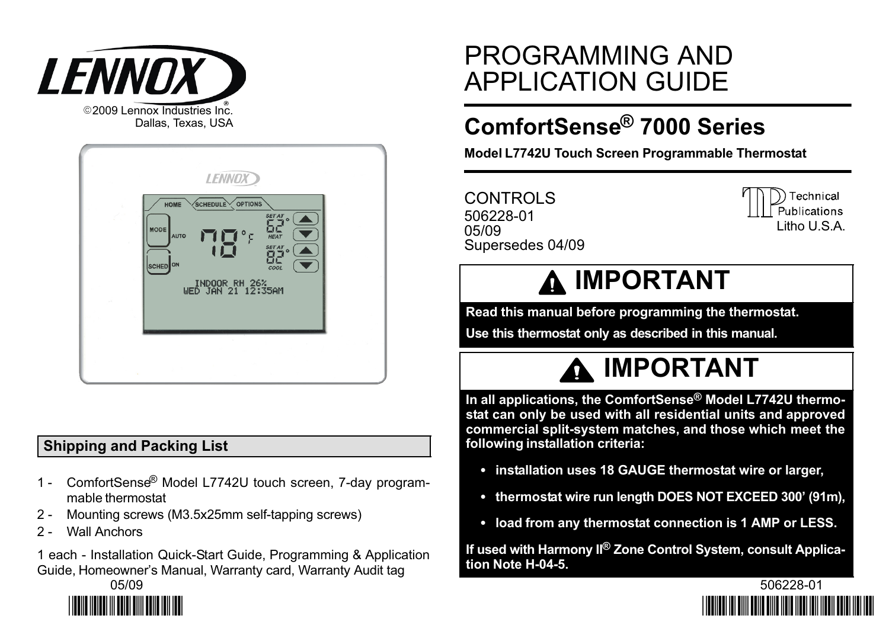

| <b>LENNOX</b><br><b>SCHEDULE</b><br><b>OPTIONS</b><br><b>HOME</b><br><b>SET AT</b><br>$\circ$<br>MODE<br>۰<br><b>HEAT</b><br><b>AUTO</b><br><b>SET AT</b><br>$\circ$<br>SCHED <sup>ON</sup><br>COOL<br>INDOOR RH 26%<br>WED JAN 21 12:35AM |  |
|--------------------------------------------------------------------------------------------------------------------------------------------------------------------------------------------------------------------------------------------|--|
|                                                                                                                                                                                                                                            |  |

# Shipping and Packing List

- 1 − ComfortSense® Model L7742U touch screen, 7−day programmable thermostat
- 2 − Mounting screws (M3.5x25mm self−tapping screws)
- 2 Wall Anchors

1 each − Installation Quick-Start Guide, Programming & Application Guide, Homeowner's Manual, Warranty card, Warranty Audit tag



# PROGRAMMING AND APPLICATION GUIDE

# ComfortSense® 7000 Series

Model L7742U Touch Screen Programmable Thermostat

CONTROLS 506228−01 05/09 Supersedes 04/09



# **A IMPORTANT**

Read this manual before programming the thermostat.

Use this thermostat only as described in this manual.



In all applications, the ComfortSense® Model L7742U thermostat can only be used with all residential units and approved commercial split-system matches, and those which meet the following installation criteria:

- installation uses 18 GAUGE thermostat wire or larger,
- thermostat wire run length DOES NOT EXCEED 300' (91m),
- load from any thermostat connection is 1 AMP or LESS.

If used with Harmony II<sup>®</sup> Zone Control System, consult Application Note H−04−5.

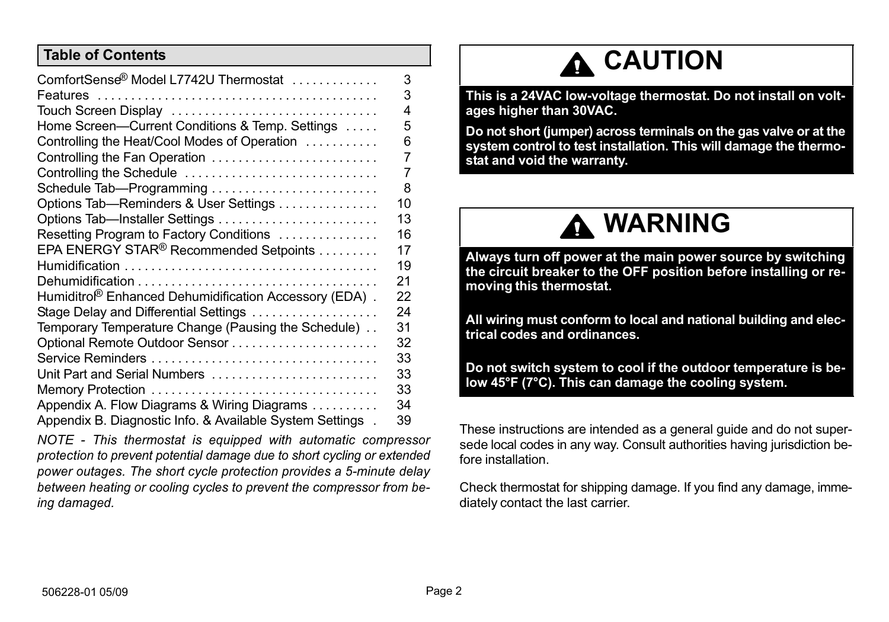#### Table of Contents

| ComfortSense <sup>®</sup> Model L7742U Thermostat                 | 3  |
|-------------------------------------------------------------------|----|
|                                                                   | 3  |
| Touch Screen Display                                              | 4  |
| Home Screen-Current Conditions & Temp. Settings                   | 5  |
| Controlling the Heat/Cool Modes of Operation                      | 6  |
| Controlling the Fan Operation                                     | 7  |
| Controlling the Schedule                                          | 7  |
| Schedule Tab-Programming                                          | 8  |
| Options Tab-Reminders & User Settings                             | 10 |
| Options Tab—Installer Settings                                    | 13 |
| Resetting Program to Factory Conditions                           | 16 |
| EPA ENERGY STAR <sup>®</sup> Recommended Setpoints                | 17 |
|                                                                   | 19 |
|                                                                   | 21 |
| Humiditro <sup>®</sup> Enhanced Dehumidification Accessory (EDA). | 22 |
| Stage Delay and Differential Settings                             | 24 |
| Temporary Temperature Change (Pausing the Schedule).              | 31 |
|                                                                   | 32 |
|                                                                   | 33 |
| Unit Part and Serial Numbers                                      | 33 |
| Memory Protection                                                 | 33 |
| Appendix A. Flow Diagrams & Wiring Diagrams                       | 34 |
| Appendix B. Diagnostic Info. & Available System Settings.         | 39 |

NOTE − This thermostat is equipped with automatic compressor protection to prevent potential damage due to short cycling or extended power outages. The short cycle protection provides a 5−minute delay between heating or cooling cycles to prevent the compressor from being damaged.

# A CAUTION

This is a 24VAC low−voltage thermostat. Do not install on voltages higher than 30VAC.

Do not short (jumper) across terminals on the gas valve or at the system control to test installation. This will damage the thermostat and void the warranty.



Always turn off power at the main power source by switching the circuit breaker to the OFF position before installing or removing this thermostat.

All wiring must conform to local and national building and electrical codes and ordinances.

Do not switch system to cool if the outdoor temperature is below 45°F (7°C). This can damage the cooling system.

These instructions are intended as a general guide and do not supersede local codes in any way. Consult authorities having jurisdiction before installation.

Check thermostat for shipping damage. If you find any damage, immediately contact the last carrier.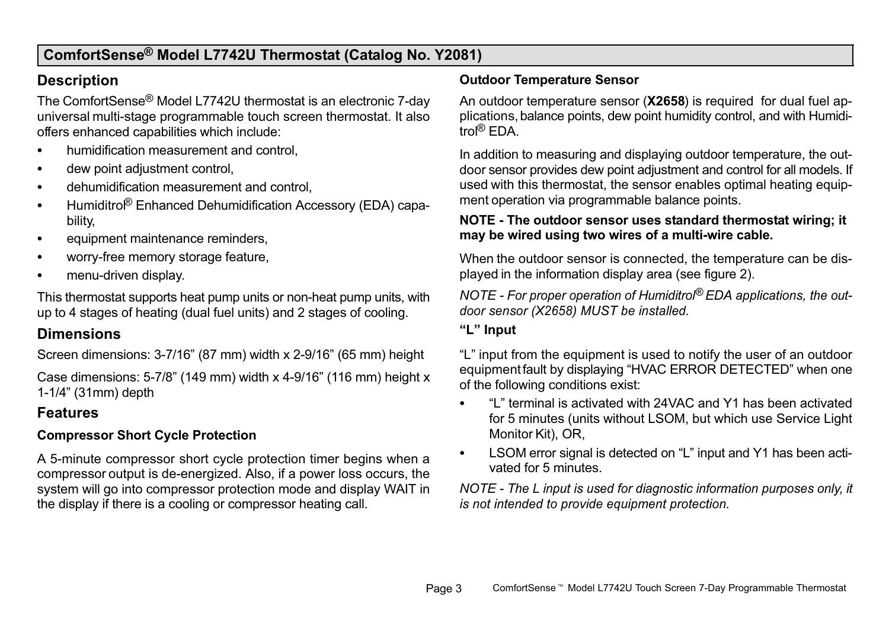# <span id="page-2-0"></span>ComfortSense® Model L7742U Thermostat (Catalog No. Y2081)

#### **Description**

The ComfortSense® Model L7742U thermostat is an electronic 7−day universal multi-stage programmable touch screen thermostat. It also offers enhanced capabilities which include:

- $\bullet$ humidification measurement and control,
- $\bullet$ dew point adjustment control,
- $\bullet$ dehumidification measurement and control,
- $\bullet$ Humiditro<sup>®</sup> Enhanced Dehumidification Accessory (EDA) capability,
- $\bullet$ equipment maintenance reminders,
- $\bullet$ worry−free memory storage feature,
- $\bullet$ menu−driven display.

This thermostat supports heat pump units or non−heat pump units, with up to 4 stages of heating (dual fuel units) and 2 stages of cooling.

## **Dimensions**

Screen dimensions: 3−7/16" (87 mm) width x 2−9/16" (65 mm) height

Case dimensions: 5−7/8" (149 mm) width x 4−9/16" (116 mm) height x 1−1/4" (31mm) depth

## Features

#### Compressor Short Cycle Protection

A 5−minute compressor short cycle protection timer begins when a compressor output is de−energized. Also, if a power loss occurs, the system will go into compressor protection mode and display WAIT in the display if there is a cooling or compressor heating call.

#### Outdoor Temperature Sensor

An outdoor temperature sensor (X2658) is required for dual fuel applications, balance points, dew point humidity control, and with Humiditrol® EDA.

In addition to measuring and displaying outdoor temperature, the outdoor sensor provides dew point adjustment and control for all models. If used with this thermostat, the sensor enables optimal heating equipment operation via programmable balance points.

#### NOTE − The outdoor sensor uses standard thermostat wiring; it may be wired using two wires of a multi−wire cable.

When the outdoor sensor is connected, the temperature can be displayed in the information display area (see figure [2\)](#page-4-0).

NOTE - For proper operation of Humiditrol<sup>®</sup> EDA applications, the outdoor sensor (X2658) MUST be installed.

#### -L" Input

L" input from the equipment is used to notify the user of an outdoor equipment fault by displaying "HVAC ERROR DETECTED" when one of the following conditions exist:

- . L" terminal is activated with 24VAC and Y1 has been activated for 5 minutes (units without LSOM, but which use Service Light Monitor Kit), OR,
- $\bullet$ LSOM error signal is detected on "L" input and Y1 has been activated for 5 minutes.

NOTE − The L input is used for diagnostic information purposes only, it is not intended to provide equipment protection.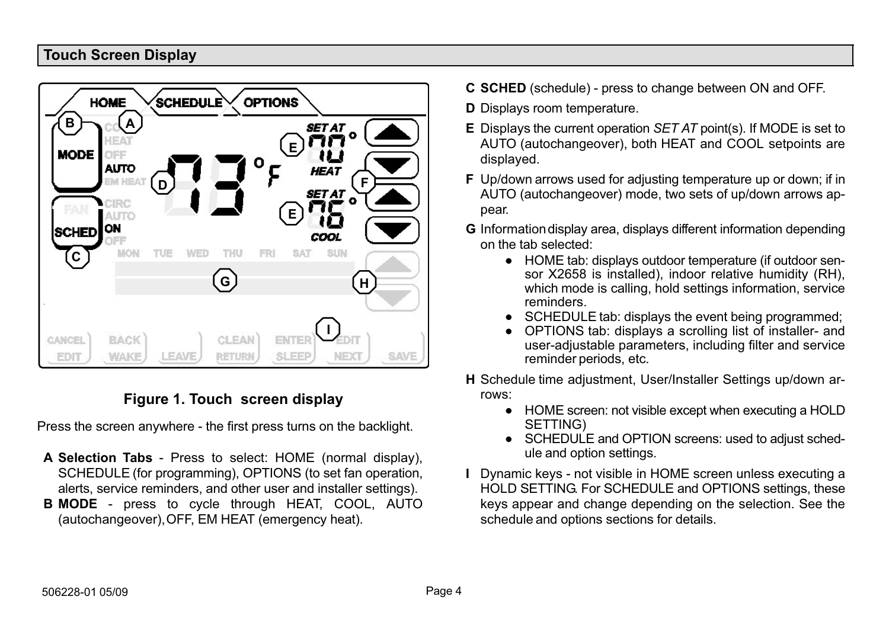#### <span id="page-3-0"></span>Touch Screen Display



# Figure 1. Touch screen display

Press the screen anywhere − the first press turns on the backlight.

- A Selection Tabs − Press to select: HOME (normal display), SCHEDULE (for programming), OPTIONS (to set fan operation, alerts, service reminders, and other user and installer settings).
- B MODE press to cycle through HEAT, COOL, AUTO (autochangeover), OFF, EM HEAT (emergency heat).
- C SCHED (schedule) − press to change between ON and OFF.
- D Displays room temperature.
- E Displays the current operation SET AT point(s). If MODE is set to AUTO (autochangeover), both HEAT and COOL setpoints are displayed.
- F Up/down arrows used for adjusting temperature up or down; if in AUTO (autochangeover) mode, two sets of up/down arrows appear.
- G Information display area, displays different information depending on the tab selected:
	- HOME tab: displays outdoor temperature (if outdoor sensor X2658 is installed), indoor relative humidity (RH), which mode is calling, hold settings information, service reminders.
	- **SCHEDULE tab: displays the event being programmed;**
	- OPTIONS tab: displays a scrolling list of installer- and user−adjustable parameters, including filter and service reminder periods, etc.
- H Schedule time adjustment, User/Installer Settings up/down arrows:
	- HOME screen: not visible except when executing a HOLD SETTING)
	- SCHEDULE and OPTION screens: used to adjust schedule and option settings.
- I Dynamic keys − not visible in HOME screen unless executing a HOLD SETTING. For SCHEDULE and OPTIONS settings, these keys appear and change depending on the selection. See the schedule and options sections for details.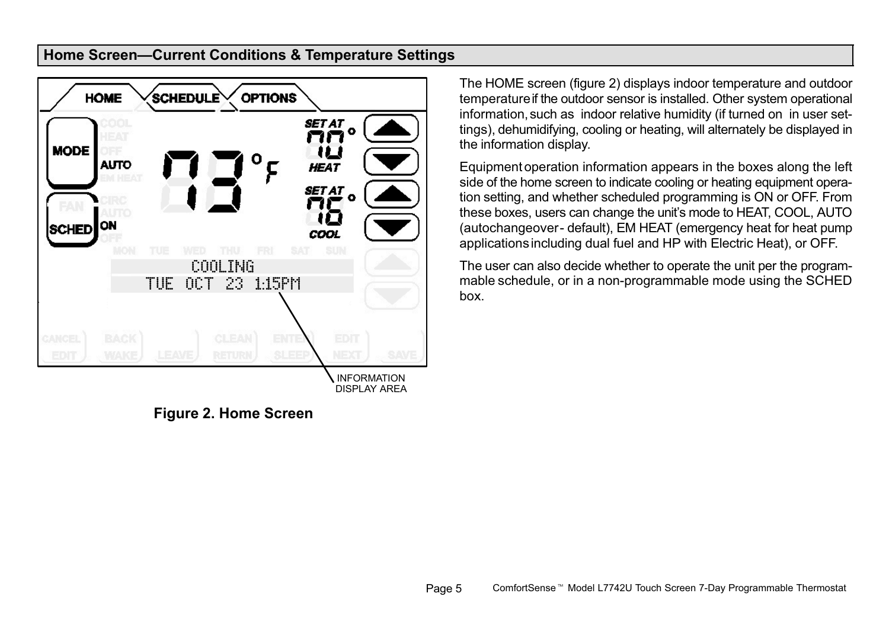#### <span id="page-4-0"></span>Home Screen-Current Conditions & Temperature Settings



Figure 2. Home Screen

The HOME screen (figure 2) displays indoor temperature and outdoor temperature if the outdoor sensor is installed. Other system operational information, such as indoor relative humidity (if turned on in user settings), dehumidifying, cooling or heating, will alternately be displayed in the information display.

Equipment operation information appears in the boxes along the left side of the home screen to indicate cooling or heating equipment operation setting, and whether scheduled programming is ON or OFF. From these boxes, users can change the unit's mode to HEAT, COOL, AUTO (autochangeover − default), EM HEAT (emergency heat for heat pump applications including dual fuel and HP with Electric Heat), or OFF.

The user can also decide whether to operate the unit per the programmable schedule, or in a non−programmable mode using the SCHED box.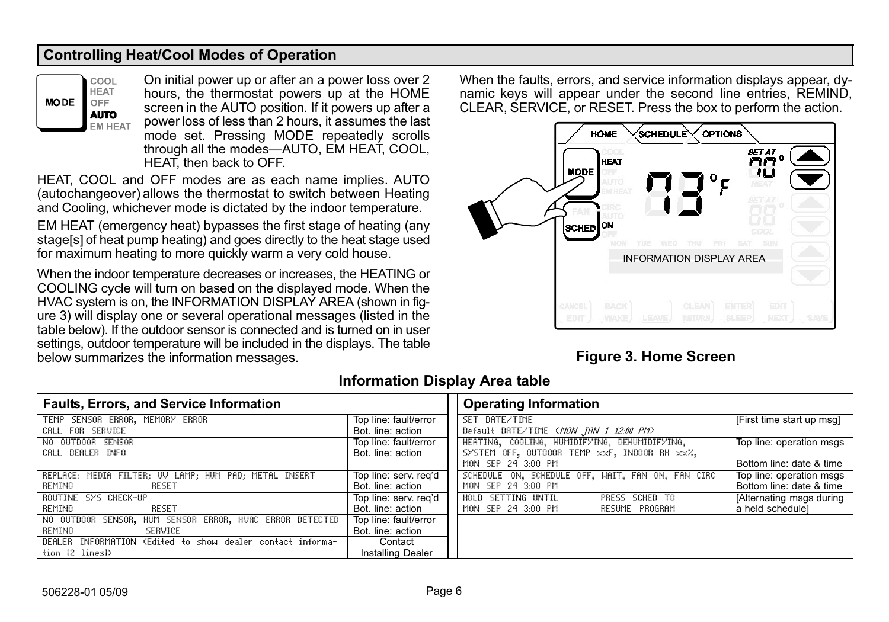#### <span id="page-5-0"></span>Controlling Heat/Cool Modes of Operation



On initial power up or after an a power loss over 2 hours, the thermostat powers up at the HOME screen in the AUTO position. If it powers up after a power loss of less than 2 hours, it assumes the last mode set. Pressing MODE repeatedly scrolls through all the modes-AUTO, EM HEAT, COOL, HEAT, then back to OFF.

HEAT, COOL and OFF modes are as each name implies. AUTO (autochangeover) allows the thermostat to switch between Heating and Cooling, whichever mode is dictated by the indoor temperature.

EM HEAT (emergency heat) bypasses the first stage of heating (any stage[s] of heat pump heating) and goes directly to the heat stage used for maximum heating to more quickly warm a very cold house.

When the indoor temperature decreases or increases, the HEATING or COOLING cycle will turn on based on the displayed mode. When the HVAC system is on, the INFORMATION DISPLAY AREA (shown in figure 3) will display one or several operational messages (listed in the table below). If the outdoor sensor is connected and is turned on in user settings, outdoor temperature will be included in the displays. The table below summarizes the information messages.

When the faults, errors, and service information displays appear, dynamic keys will appear under the second line entries, REMIND, CLEAR, SERVICE, or RESET. Press the box to perform the action.



## Figure 3. Home Screen

| <b>Faults, Errors, and Service Information</b>             |                          | <b>Operating Information</b>                                                  |
|------------------------------------------------------------|--------------------------|-------------------------------------------------------------------------------|
| TEMP SENSOR ERROR, MEMORY ERROR                            | Top line: fault/error    | SET DATE/TIME<br>[First time start up msg]                                    |
| CALL FOR SERVICE                                           | Bot. line: action        | Default DATE/TIME (MON JAN 1 12:00 PM)                                        |
| NO OUTDOOR SENSOR                                          | Top line: fault/error    | HEATING, COOLING, HUMIDIFYING, DEHUMIDIFYING,<br>Top line: operation msgs     |
| CALL DEALER INFO                                           | Bot. line: action        | SYSTEM OFF, OUTDOOR TEMP xxF, INDOOR RH xxZ,                                  |
|                                                            |                          | MON SEP 24 3:00 PM<br>Bottom line: date & time                                |
| REPLACE: MEDIA FILTER; UV LAMP; HUM PAD; METAL INSERT      | Top line: serv. reg'd    | SCHEDULE ON, SCHEDULE OFF, WAIT, FAN ON, FAN CIRC<br>Top line: operation msgs |
| REMIND<br>RESET                                            | Bot. line: action        | Bottom line: date & time<br>MON SEP 24 3:00 PM                                |
| ROUTINE SYS CHECK-UP                                       | Top line: serv. reg'd    | HOLD SETTING UNTIL<br>[Alternating msgs during<br>PRESS SCHED TO              |
| RESET<br>REMIND                                            | Bot. line: action        | a held schedule]<br>MON SEP 24 3:00 PM<br>RESUME PROGRAM                      |
| NO OUTDOOR SENSOR, HUM SENSOR ERROR, HVAC ERROR DETECTED   | Top line: fault/error    |                                                                               |
| REMIND<br>SERVICE                                          | Bot, line: action        |                                                                               |
| DEALER INFORMATION (Edited to show dealer contact informa- | Contact                  |                                                                               |
| tion [2 lines])                                            | <b>Installing Dealer</b> |                                                                               |

## Information Display Area table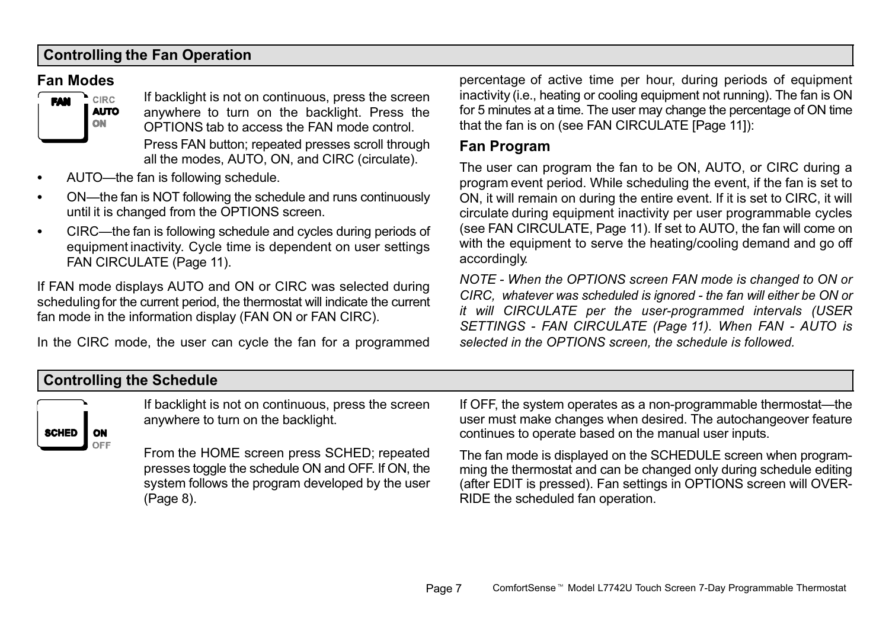## <span id="page-6-0"></span>Controlling the Fan Operation

#### Fan Modes



If backlight is not on continuous, press the screen anywhere to turn on the backlight. Press the OPTIONS tab to access the FAN mode control. Press FAN button; repeated presses scroll through all the modes, AUTO, ON, and CIRC (circulate).

- . • AUTO--the fan is following schedule.
- $\bullet$ • ON—the fan is NOT following the schedule and runs continuously until it is changed from the OPTIONS screen.
- $\bullet$ • CIRC—the fan is following schedule and cycles during periods of equipment inactivity. Cycle time is dependent on user settings FAN CIRCULATE [\(Page 11\)](#page-10-0).

If FAN mode displays AUTO and ON or CIRC was selected during scheduling for the current period, the thermostat will indicate the current fan mode in the information display (FAN ON or FAN CIRC).

In the CIRC mode, the user can cycle the fan for a programmed

percentage of active time per hour, during periods of equipment inactivity (i.e., heating or cooling equipment not running). The fan is ON for 5 minutes at a time. The user may change the percentage of ON time that the fan is on (see FAN CIRCULATE [[Page 11](#page-10-0)]):

### Fan Program

The user can program the fan to be ON, AUTO, or CIRC during a program event period. While scheduling the event, if the fan is set to ON, it will remain on during the entire event. If it is set to CIRC, it will circulate during equipment inactivity per user programmable cycles (see FAN CIRCULATE, [Page 11\)](#page-10-0). If set to AUTO, the fan will come on with the equipment to serve the heating/cooling demand and go off accordingly.

NOTE − When the OPTIONS screen FAN mode is changed to ON or CIRC, whatever was scheduled is ignored - the fan will either be ON or it will CIRCULATE per the user−programmed intervals (USER SETTINGS − FAN CIRCULATE [\(Page 11\)](#page-10-0). When FAN − AUTO is selected in the OPTIONS screen, the schedule is followed.

# Controlling the Schedule



If backlight is not on continuous, press the screen anywhere to turn on the backlight.

From the HOME screen press SCHED; repeated presses toggle the schedule ON and OFF. If ON, the system follows the program developed by the user [\(Page 8\)](#page-7-0).

If OFF, the system operates as a non-programmable thermostat—the user must make changes when desired. The autochangeover feature continues to operate based on the manual user inputs.

The fan mode is displayed on the SCHEDULE screen when programming the thermostat and can be changed only during schedule editing (after EDIT is pressed). Fan settings in OPTIONS screen will OVER-RIDE the scheduled fan operation.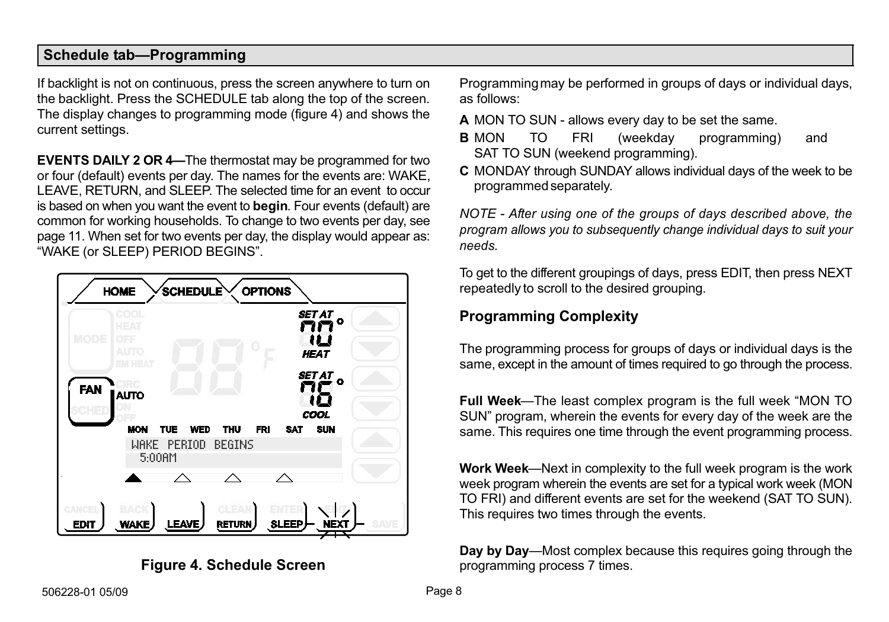#### <span id="page-7-0"></span>Schedule tab-Programming

If backlight is not on continuous, press the screen anywhere to turn on the backlight. Press the SCHEDULE tab along the top of the screen. The display changes to programming mode (figure 4) and shows the current settings.

**EVENTS DAILY 2 OR 4–The thermostat may be programmed for two** or four (default) events per day. The names for the events are: WAKE, LEAVE, RETURN, and SLEEP. The selected time for an event to occur is based on when you want the event to **begin**. Four events (default) are common for working households. To change to two events per day, see page [11](#page-10-0). When set for two events per day, the display would appear as: WAKE (or SLEEP) PERIOD BEGINS".





Programming may be performed in groups of days or individual days, as follows:

- A MON TO SUN − allows every day to be set the same.
- B MON TO FRI (weekday programming) and SAT TO SUN (weekend programming).
- C MONDAY through SUNDAY allows individual days of the week to be programmed separately.

NOTE − After using one of the groups of days described above, the program allows you to subsequently change individual days to suit your needs.

To get to the different groupings of days, press EDIT, then press NEXT repeatedly to scroll to the desired grouping.

# Programming Complexity

The programming process for groups of days or individual days is the same, except in the amount of times required to go through the process.

Full Week—The least complex program is the full week "MON TO SUN" program, wherein the events for every day of the week are the same. This requires one time through the event programming process.

Work Week—Next in complexity to the full week program is the work week program wherein the events are set for a typical work week (MON TO FRI) and different events are set for the weekend (SAT TO SUN). This requires two times through the events.

Day by Day—Most complex because this requires going through the programming process 7 times.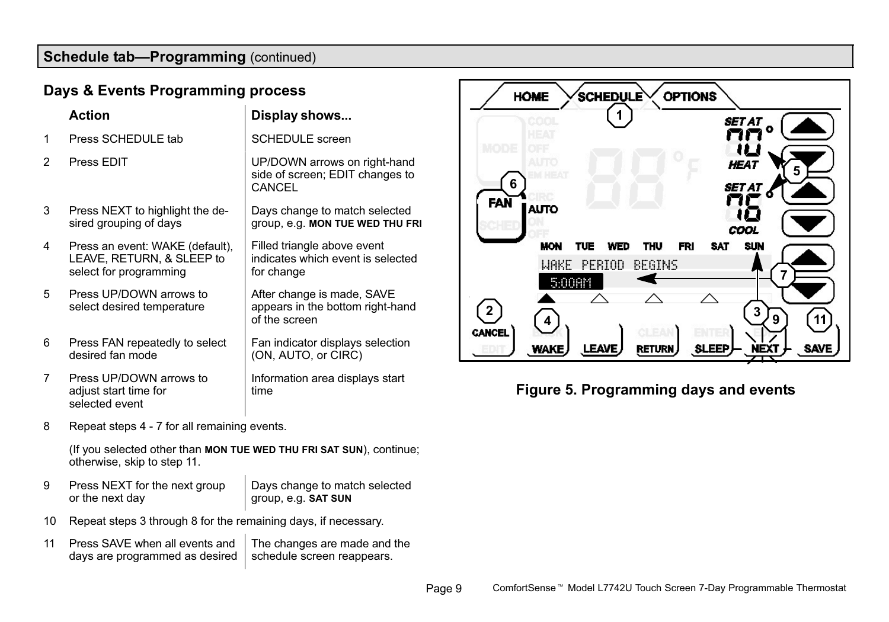# Schedule tab-Programming (continued)

### Days & Events Programming process

|   | Action                                                                                 | Display shows                                                                   |
|---|----------------------------------------------------------------------------------------|---------------------------------------------------------------------------------|
| 1 | Press SCHEDULE tab                                                                     | <b>SCHEDULE</b> screen                                                          |
| 2 | Press EDIT                                                                             | UP/DOWN arrows on right-hand<br>side of screen; EDIT changes to<br>CANCEL       |
| 3 | Press NEXT to highlight the de-<br>sired grouping of days                              | Days change to match selected<br>group, e.g. MON TUE WED THU FRI                |
| 4 | Press an event: WAKE (default),<br>LEAVE, RETURN, & SLEEP to<br>select for programming | Filled triangle above event<br>indicates which event is selected<br>for change  |
| 5 | Press UP/DOWN arrows to<br>select desired temperature                                  | After change is made, SAVE<br>appears in the bottom right-hand<br>of the screen |
| 6 | Press FAN repeatedly to select<br>desired fan mode                                     | Fan indicator displays selection<br>(ON, AUTO, or CIRC)                         |
| 7 | Press UP/DOWN arrows to<br>adjust start time for<br>selected event                     | Information area displays start<br>time                                         |

8 Repeat steps 4 − 7 for all remaining events.

(If you selected other than MON TUE WED THU FRI SAT SUN), continue; otherwise, skip to step 11.

- 9 Press NEXT for the next group or the next day Days change to match selected group, e.g. SAT SUN
- 10 Repeat steps 3 through 8 for the remaining days, if necessary.
- 11 Press SAVE when all events and days are programmed as desired The changes are made and the schedule screen reappears.



# Figure 5. Programming days and events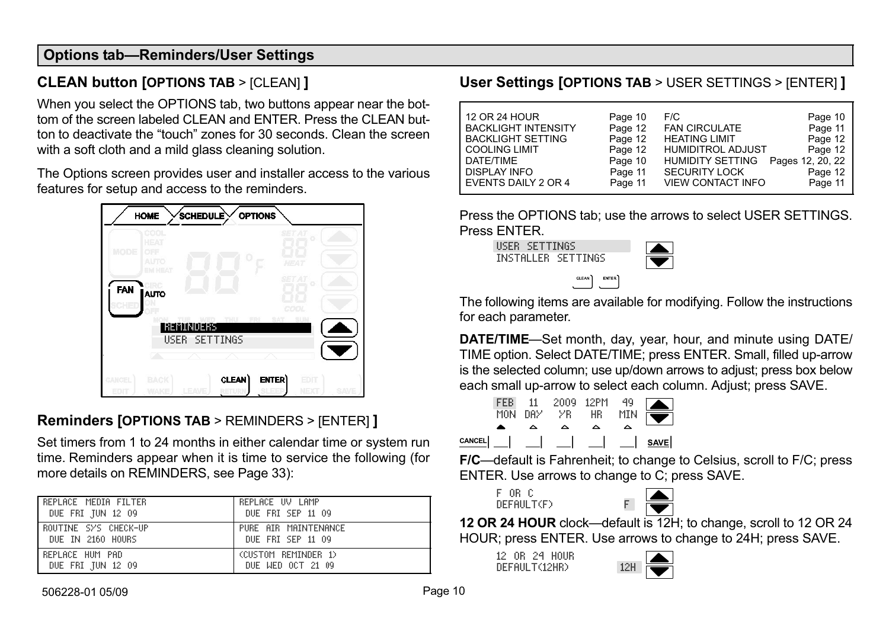#### <span id="page-9-0"></span>Options tab-Reminders/User Settings

# CLEAN button [OPTIONS TAB > [CLEAN] ]

When you select the OPTIONS tab, two buttons appear near the bottom of the screen labeled CLEAN and ENTER. Press the CLEAN button to deactivate the "touch" zones for 30 seconds. Clean the screen with a soft cloth and a mild glass cleaning solution.

The Options screen provides user and installer access to the various features for setup and access to the reminders.



# Reminders [OPTIONS TAB > REMINDERS > [ENTER] ]

Set timers from 1 to 24 months in either calendar time or system run time. Reminders appear when it is time to service the following (for more details on REMINDERS, see [Page 33\)](#page-32-0):

| REPLACE MEDIA FILTER | REPLACE UV LAMP      |
|----------------------|----------------------|
| DUE FRI JUN 12 09    | DUE FRI SEP 11 09    |
| ROUTINE SYS CHECK-UP | PURE AIR MAINTENANCE |
| DUE IN 2160 HOURS    | DUE FRI SEP 11 09    |
| REPLACE HUM PAD      | (CUSTOM REMINDER 1)  |
| DUE FRI JUN 12 09    | DUE WED OCT 21 09    |

## User Settings [OPTIONS TAB > USER SETTINGS > [ENTER] ]

| 12 OR 24 HOUR              | Page 10 | F/C                      | Page 10          |
|----------------------------|---------|--------------------------|------------------|
| <b>BACKLIGHT INTENSITY</b> | Page 12 | <b>FAN CIRCULATE</b>     | Page 11          |
| <b>BACKLIGHT SETTING</b>   | Page 12 | <b>HEATING LIMIT</b>     | Page 12          |
| <b>COOLING LIMIT</b>       | Page 12 | <b>HUMIDITROL ADJUST</b> | Page 12          |
| DATE/TIME                  | Page 10 | <b>HUMIDITY SETTING</b>  | Pages 12, 20, 22 |
| <b>DISPLAY INFO</b>        | Page 11 | <b>SECURITY LOCK</b>     | Page 12          |
| EVENTS DAILY 2 OR 4        | Page 11 | <b>VIEW CONTACT INFO</b> | Page 11          |

Press the OPTIONS tab; use the arrows to select USER SETTINGS. Press ENTER.

USER SETTINGS INSTALLER SETTINGS



The following items are available for modifying. Follow the instructions for each parameter.

DATE/TIME-Set month, day, year, hour, and minute using DATE/ TIME option. Select DATE/TIME; press ENTER. Small, filled up-arrow is the selected column; use up/down arrows to adjust; press box below each small up-arrow to select each column. Adjust; press SAVE.

|        | FFR.<br>MON | -11<br><b>DAY</b> | 2009 12PM<br>УR | HR | 49<br>MIN |             |
|--------|-------------|-------------------|-----------------|----|-----------|-------------|
|        |             |                   | ⌒               |    |           |             |
| CANCEL |             |                   |                 |    |           | <b>SAVE</b> |

CLEAN

F/C-default is Fahrenheit; to change to Celsius, scroll to F/C; press ENTER. Use arrows to change to C; press SAVE.

F OR C  $DFF$ ALLI $T(F)$ 



12 OR 24 HOUR clock—default is 12H; to change, scroll to 12 OR 24 HOUR; press ENTER. Use arrows to change to 24H; press SAVE.

12 OR 24 HOUR DEFAULT(12HR)

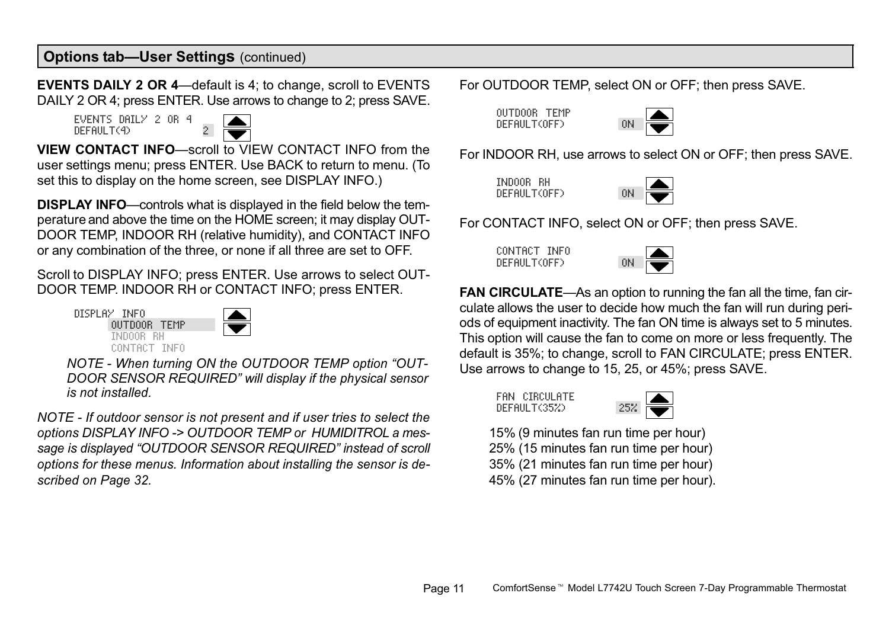<span id="page-10-0"></span>**EVENTS DAILY 2 OR 4**—default is 4; to change, scroll to EVENTS DAILY 2 OR 4; press ENTER. Use arrows to change to 2; press SAVE.

EVENTS DAILY 2 OR 4 DEFAULT(4) 2



VIEW CONTACT INFO-scroll to VIEW CONTACT INFO from the user settings menu; press ENTER. Use BACK to return to menu. (To set this to display on the home screen, see DISPLAY INFO.)

DISPLAY INFO-controls what is displayed in the field below the temperature and above the time on the HOME screen; it may display OUT-DOOR TEMP, INDOOR RH (relative humidity), and CONTACT INFO or any combination of the three, or none if all three are set to OFF.

Scroll to DISPLAY INFO; press ENTER. Use arrows to select OUT-DOOR TEMP. INDOOR RH or CONTACT INFO; press ENTER.

DISPLAY INFO OUTDOOR TEMP INDOOR RH CONTACT INFO



NOTE - When turning ON the OUTDOOR TEMP option "OUT-DOOR SENSOR REQUIRED" will display if the physical sensor is not installed.

NOTE − If outdoor sensor is not present and if user tries to select the options DISPLAY INFO −> OUTDOOR TEMP or HUMIDITROL a message is displayed "OUTDOOR SENSOR REQUIRED" instead of scroll options for these menus. Information about installing the sensor is described on [Page 32.](#page-31-0)

For OUTDOOR TEMP, select ON or OFF; then press SAVE.

OUTDOOR TEMP DEFAULT(OFF)



For INDOOR RH, use arrows to select ON or OFF; then press SAVE.

INDOOR RH DEFAULT(OFF)



For CONTACT INFO, select ON or OFF; then press SAVE.

CONTACT INFO  $DFF$ AULT $(OFF)$ 



FAN CIRCULATE—As an option to running the fan all the time, fan circulate allows the user to decide how much the fan will run during periods of equipment inactivity. The fan ON time is always set to 5 minutes. This option will cause the fan to come on more or less frequently. The default is 35%; to change, scroll to FAN CIRCULATE; press ENTER. Use arrows to change to 15, 25, or 45%; press SAVE.

FAN CIRCULATE DEFAULT(35%)



15% (9 minutes fan run time per hour) 25% (15 minutes fan run time per hour) 35% (21 minutes fan run time per hour) 45% (27 minutes fan run time per hour).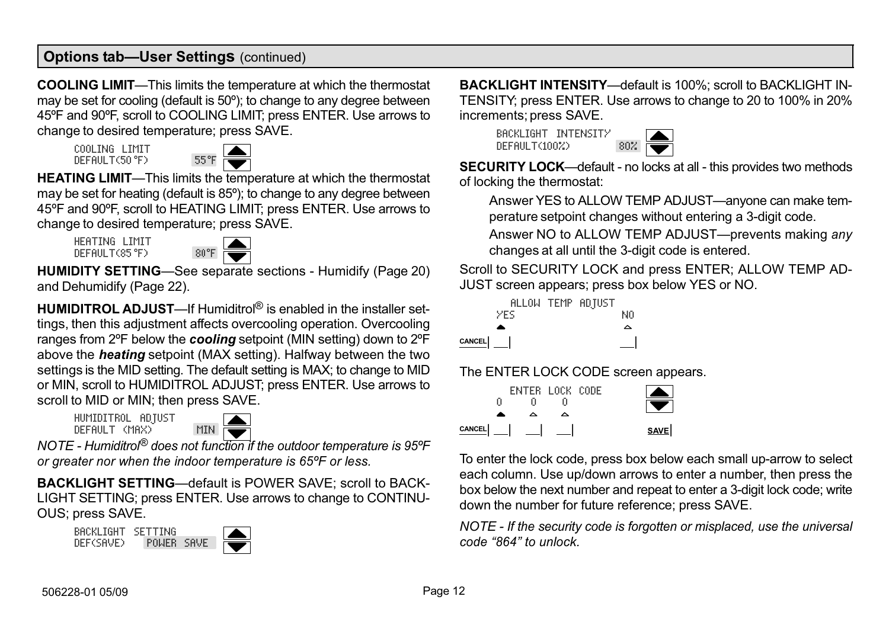<span id="page-11-0"></span>**COOLING LIMIT**—This limits the temperature at which the thermostat may be set for cooling (default is 50º); to change to any degree between 45ºF and 90ºF, scroll to COOLING LIMIT; press ENTER. Use arrows to change to desired temperature; press SAVE.

COOLING LIMIT DEFAULT(50°F)



HEATING LIMIT-This limits the temperature at which the thermostat may be set for heating (default is 85º); to change to any degree between 45ºF and 90ºF, scroll to HEATING LIMIT; press ENTER. Use arrows to change to desired temperature; press SAVE.

HEATING LIMIT DEFAULT(85°F)



HUMIDITY SETTING—See separate sections - Humidify [\(Page 20](#page-19-0)) and Dehumidify ([Page 22\)](#page-21-0).

HUMIDITROL ADJUST—If Humiditrol<sup>®</sup> is enabled in the installer settings, then this adjustment affects overcooling operation. Overcooling ranges from 2°F below the **cooling** setpoint (MIN setting) down to 2°F above the **heating** setpoint (MAX setting). Halfway between the two settings is the MID setting. The default setting is MAX; to change to MID or MIN, scroll to HUMIDITROL ADJUST; press ENTER. Use arrows to scroll to MID or MIN; then press SAVE.

HUMIDITROL ADJUST  $DF$ FAULT (MAX)



NOTE − Humiditrol® does not function if the outdoor temperature is 95ºF or greater nor when the indoor temperature is 65ºF or less.

BACKLIGHT SETTING—default is POWER SAVE; scroll to BACK-LIGHT SETTING; press ENTER. Use arrows to change to CONTINU-OUS; press SAVE.





**BACKLIGHT INTENSITY**—default is 100%; scroll to BACKLIGHT IN-TENSITY; press ENTER. Use arrows to change to 20 to 100% in 20% increments; press SAVE.

BACKLIGHT INTENSITY DEFAULT(100%)



SECURITY LOCK—default - no locks at all - this provides two methods of locking the thermostat:

Answer YES to ALLOW TEMP ADJUST—anyone can make temperature setpoint changes without entering a 3−digit code.

Answer NO to ALLOW TEMP ADJUST—prevents making any changes at all until the 3−digit code is entered.

Scroll to SECURITY LOCK and press ENTER; ALLOW TEMP AD-JUST screen appears; press box below YES or NO.

|        |      | ALLOW TEMP ADJUST |    |
|--------|------|-------------------|----|
|        | YES. |                   | NΩ |
|        |      |                   | ́  |
| CANCEL |      |                   |    |

The ENTER LOCK CODE screen appears.

|        |   | <b>ENTER LOCK CODE</b> |  |      |
|--------|---|------------------------|--|------|
|        | п |                        |  |      |
|        |   |                        |  |      |
| CANCEL |   |                        |  | SAVE |

To enter the lock code, press box below each small up-arrow to select each column. Use up/down arrows to enter a number, then press the box below the next number and repeat to enter a 3-digit lock code; write down the number for future reference; press SAVE.

NOTE − If the security code is forgotten or misplaced, use the universal code -864" to unlock.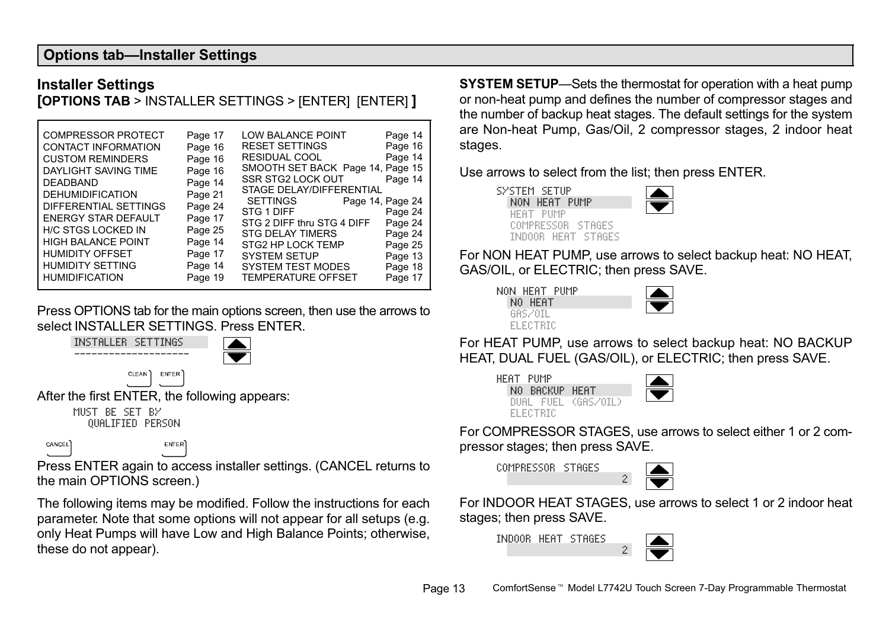#### <span id="page-12-0"></span>**Options tab-Installer Settings**

#### Installer Settings

[OPTIONS TAB > INSTALLER SETTINGS > [ENTER] [ENTER] ]

Press OPTIONS tab for the main options screen, then use the arrows to select INSTALLER SETTINGS. Press ENTER.



Press ENTER again to access installer settings. (CANCEL returns to the main OPTIONS screen.)

The following items may be modified. Follow the instructions for each parameter. Note that some options will not appear for all setups (e.g. only Heat Pumps will have Low and High Balance Points; otherwise, these do not appear).

**SYSTEM SETUP**—Sets the thermostat for operation with a heat pump or non-heat pump and defines the number of compressor stages and the number of backup heat stages. The default settings for the system are Non−heat Pump, Gas/Oil, 2 compressor stages, 2 indoor heat stages.

Use arrows to select from the list; then press ENTER.



For NON HEAT PUMP, use arrows to select backup heat: NO HEAT, GAS/OIL, or ELECTRIC; then press SAVE.

|  |            | NON HEAT PUMP |  |
|--|------------|---------------|--|
|  | NO HEAT    |               |  |
|  | GAS ZOTI   |               |  |
|  | ELEU I KIL |               |  |

For HEAT PUMP, use arrows to select backup heat: NO BACKUP HEAT, DUAL FUEL (GAS/OIL), or ELECTRIC; then press SAVE.



For COMPRESSOR STAGES, use arrows to select either 1 or 2 compressor stages; then press SAVE.

COMPRESSOR STAGES



2

For INDOOR HEAT STAGES, use arrows to select 1 or 2 indoor heat stages; then press SAVE.

INDOOR HEAT STAGES

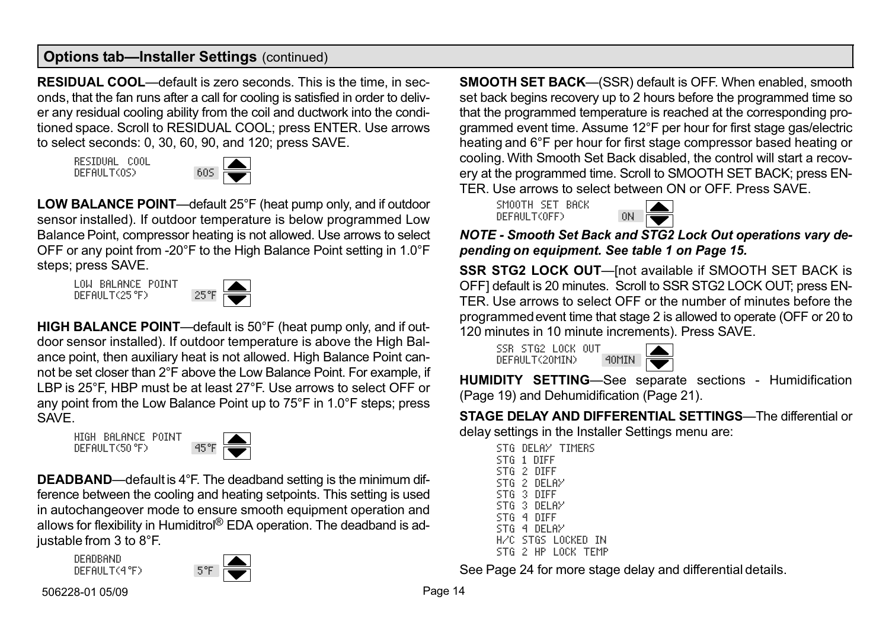<span id="page-13-0"></span>RESIDUAL COOL—default is zero seconds. This is the time, in seconds, that the fan runs after a call for cooling is satisfied in order to deliver any residual cooling ability from the coil and ductwork into the conditioned space. Scroll to RESIDUAL COOL; press ENTER. Use arrows to select seconds: 0, 30, 60, 90, and 120; press SAVE.

RESIDUAL COOL DEFAULT(OS)



LOW BALANCE POINT—default 25°F (heat pump only, and if outdoor sensor installed). If outdoor temperature is below programmed Low Balance Point, compressor heating is not allowed. Use arrows to select OFF or any point from −20°F to the High Balance Point setting in 1.0°F steps; press SAVE.

LOW BALANCE POINT LUM BRLAINLE FULNI 25°F



HIGH BALANCE POINT—default is 50°F (heat pump only, and if outdoor sensor installed). If outdoor temperature is above the High Balance point, then auxiliary heat is not allowed. High Balance Point cannot be set closer than 2°F above the Low Balance Point. For example, if LBP is 25°F, HBP must be at least 27°F. Use arrows to select OFF or any point from the Low Balance Point up to 75°F in 1.0°F steps; press **SAVE** 

HIGH BALANCE POINT DEFAULT(50°F)



**DEADBAND**—default is 4°F. The deadband setting is the minimum difference between the cooling and heating setpoints. This setting is used in autochangeover mode to ensure smooth equipment operation and allows for flexibility in Humiditrol® EDA operation. The deadband is adjustable from 3 to 8°F.

DEADBAND DEFAULT(4°F)



SMOOTH SET BACK—(SSR) default is OFF. When enabled, smooth set back begins recovery up to 2 hours before the programmed time so that the programmed temperature is reached at the corresponding programmed event time. Assume 12°F per hour for first stage gas/electric heating and 6°F per hour for first stage compressor based heating or cooling. With Smooth Set Back disabled, the control will start a recovery at the programmed time. Scroll to SMOOTH SET BACK; press EN-TER. Use arrows to select between ON or OFF. Press SAVE.

SMOOTH SET BACK DEFAULT(OFF)



NOTE − Smooth Set Back and STG2 Lock Out operations vary depending on equipment. See table [1](#page-14-0) on [Page 15.](#page-14-0)

SSR STG2 LOCK OUT—[not available if SMOOTH SET BACK is OFF] default is 20 minutes. Scroll to SSR STG2 LOCK OUT; press EN-TER. Use arrows to select OFF or the number of minutes before the programmed event time that stage 2 is allowed to operate (OFF or 20 to 120 minutes in 10 minute increments). Press SAVE.

SSR STG2 LOCK OUT DEFAULT(2OMIN) 4OMIN



HUMIDITY SETTING—See separate sections - Humidification ([Page 19\)](#page-18-0) and Dehumidification [\(Page 21](#page-20-0)).

STAGE DELAY AND DIFFERENTIAL SETTINGS—The differential or delay settings in the Installer Settings menu are:

STG DELAY TIMERS STG 1 DIFF STG 2 DIFF STG 2 DELAY STG 3 DIFF STG 3 DELAY STG 4 DIFF STG 4 DELAY H/C STGS LOCKED IN STG 2 HP LOCK TEMP

See [Page 24](#page-23-0) for more stage delay and differential details.

506228−01 05/09 Page 14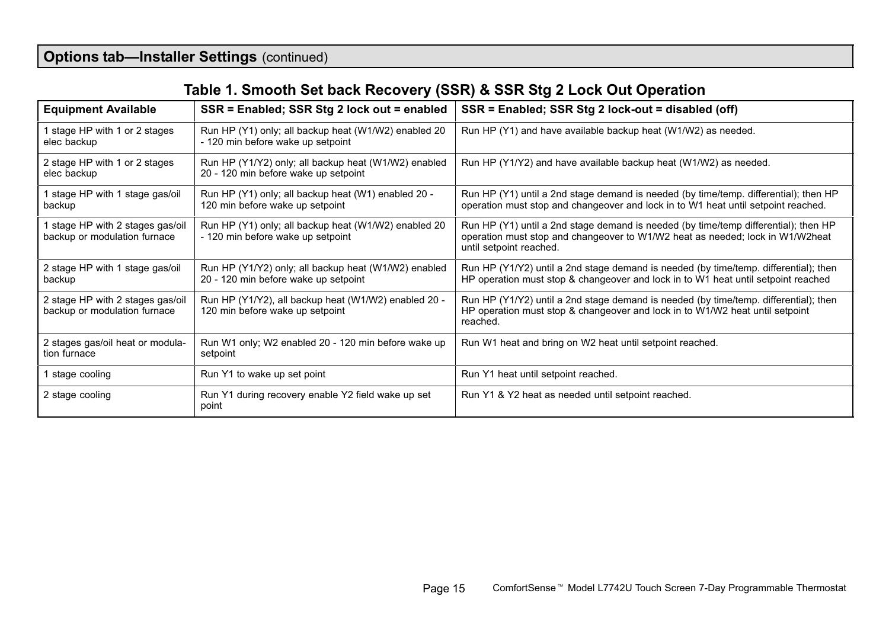# Table 1. Smooth Set back Recovery (SSR) & SSR Stg 2 Lock Out Operation

<span id="page-14-0"></span>

| <b>Equipment Available</b>                                       | SSR = Enabled; SSR Stg 2 lock out = enabled                                                  | SSR = Enabled; SSR Stg 2 lock-out = disabled (off)                                                                                                                                              |
|------------------------------------------------------------------|----------------------------------------------------------------------------------------------|-------------------------------------------------------------------------------------------------------------------------------------------------------------------------------------------------|
| stage HP with 1 or 2 stages<br>elec backup                       | Run HP (Y1) only; all backup heat (W1/W2) enabled 20<br>- 120 min before wake up setpoint    | Run HP (Y1) and have available backup heat (W1/W2) as needed.                                                                                                                                   |
| 2 stage HP with 1 or 2 stages<br>elec backup                     | Run HP (Y1/Y2) only; all backup heat (W1/W2) enabled<br>20 - 120 min before wake up setpoint | Run HP (Y1/Y2) and have available backup heat (W1/W2) as needed.                                                                                                                                |
| stage HP with 1 stage gas/oil<br>backup                          | Run HP (Y1) only; all backup heat (W1) enabled 20 -<br>120 min before wake up setpoint       | Run HP (Y1) until a 2nd stage demand is needed (by time/temp. differential); then HP<br>operation must stop and changeover and lock in to W1 heat until setpoint reached.                       |
| stage HP with 2 stages gas/oil<br>backup or modulation furnace   | Run HP (Y1) only; all backup heat (W1/W2) enabled 20<br>- 120 min before wake up setpoint    | Run HP (Y1) until a 2nd stage demand is needed (by time/temp differential); then HP<br>operation must stop and changeover to W1/W2 heat as needed; lock in W1/W2heat<br>until setpoint reached. |
| 2 stage HP with 1 stage gas/oil<br>backup                        | Run HP (Y1/Y2) only; all backup heat (W1/W2) enabled<br>20 - 120 min before wake up setpoint | Run HP (Y1/Y2) until a 2nd stage demand is needed (by time/temp. differential); then<br>HP operation must stop & changeover and lock in to W1 heat until setpoint reached                       |
| 2 stage HP with 2 stages gas/oil<br>backup or modulation furnace | Run HP (Y1/Y2), all backup heat (W1/W2) enabled 20 -<br>120 min before wake up setpoint      | Run HP (Y1/Y2) until a 2nd stage demand is needed (by time/temp. differential); then<br>HP operation must stop & changeover and lock in to W1/W2 heat until setpoint<br>reached.                |
| 2 stages gas/oil heat or modula-<br>tion furnace                 | Run W1 only; W2 enabled 20 - 120 min before wake up<br>setpoint                              | Run W1 heat and bring on W2 heat until setpoint reached.                                                                                                                                        |
| 1 stage cooling                                                  | Run Y1 to wake up set point                                                                  | Run Y1 heat until setpoint reached.                                                                                                                                                             |
| 2 stage cooling                                                  | Run Y1 during recovery enable Y2 field wake up set<br>point                                  | Run Y1 & Y2 heat as needed until setpoint reached.                                                                                                                                              |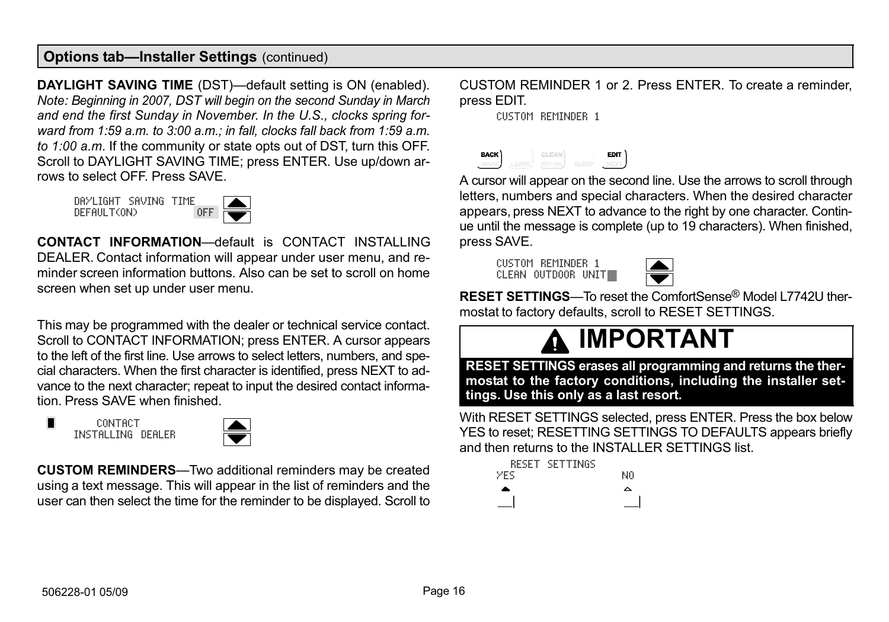<span id="page-15-0"></span>DAYLIGHT SAVING TIME (DST)—default setting is ON (enabled). Note: Beginning in 2007, DST will begin on the second Sunday in March and end the first Sunday in November. In the U.S., clocks spring forward from 1:59 a.m. to 3:00 a.m.; in fall, clocks fall back from 1:59 a.m. to 1:00 a.m. If the community or state opts out of DST, turn this OFF. Scroll to DAYLIGHT SAVING TIME; press ENTER. Use up/down arrows to select OFF. Press SAVE.

DAYLIGHT SAVING TIME DEFAULT(ON)



CONTACT INFORMATION-default is CONTACT INSTALLING DEALER. Contact information will appear under user menu, and reminder screen information buttons. Also can be set to scroll on home screen when set up under user menu.

This may be programmed with the dealer or technical service contact. Scroll to CONTACT INFORMATION; press ENTER. A cursor appears to the left of the first line. Use arrows to select letters, numbers, and special characters. When the first character is identified, press NEXT to advance to the next character; repeat to input the desired contact information. Press SAVE when finished.

**CONTACT** INSTALLING DEALER



**CUSTOM REMINDERS**—Two additional reminders may be created using a text message. This will appear in the list of reminders and the user can then select the time for the reminder to be displayed. Scroll to

CUSTOM REMINDER 1 or 2. Press ENTER. To create a reminder, press EDIT.

CUSTOM REMINDER 1



A cursor will appear on the second line. Use the arrows to scroll through letters, numbers and special characters. When the desired character appears, press NEXT to advance to the right by one character. Continue until the message is complete (up to 19 characters). When finished, press SAVE.

CUSTOM REMINDER 1 CLEAN OUTDOOR UNIT



RESET SETTINGS—To reset the ComfortSense® Model L7742U thermostat to factory defaults, scroll to RESET SETTINGS.

# IMPORTANT

RESET SETTINGS erases all programming and returns the thermostat to the factory conditions, including the installer settings. Use this only as a last resort.

With RESET SETTINGS selected, press ENTER. Press the box below YES to reset; RESETTING SETTINGS TO DEFAULTS appears briefly and then returns to the INSTALLER SETTINGS list.

|      | <b>RESET SETTINGS</b> |    |
|------|-----------------------|----|
| YFS. |                       | NΩ |
| ۰    |                       | △  |
|      |                       |    |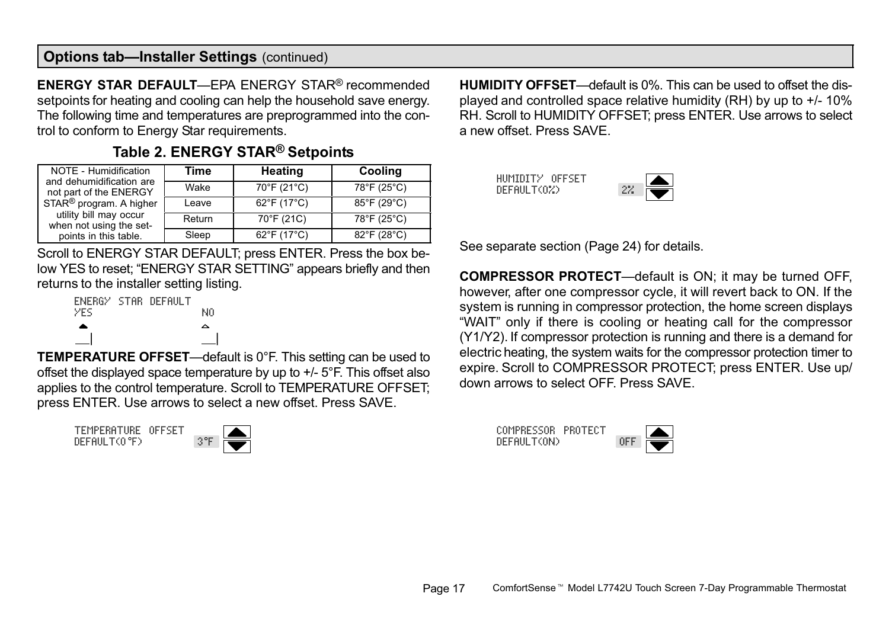<span id="page-16-0"></span>ENERGY STAR DEFAULT-EPA ENERGY STAR® recommended setpoints for heating and cooling can help the household save energy. The following time and temperatures are preprogrammed into the control to conform to Energy Star requirements.

| NOTE - Humidification<br>and dehumidification are | Time   | <b>Heating</b> | Cooling     |
|---------------------------------------------------|--------|----------------|-------------|
| not part of the ENERGY                            | Wake   | 70°F (21°C)    | 78°F (25°C) |
| STAR <sup>®</sup> program. A higher               | Leave  | 62°F (17°C)    | 85°F (29°C) |
| utility bill may occur<br>when not using the set- | Return | 70°F (21C)     | 78°F (25°C) |
| points in this table.                             | Sleep  | 62°F (17°C)    | 82°F (28°C) |

## Table 2. ENERGY STAR® Setpoints

Scroll to ENERGY STAR DEFAULT; press ENTER. Press the box below YES to reset: "ENERGY STAR SETTING" appears briefly and then returns to the installer setting listing.



TEMPERATURE OFFSET—default is 0°F. This setting can be used to offset the displayed space temperature by up to +/− 5°F. This offset also applies to the control temperature. Scroll to TEMPERATURE OFFSET; press ENTER. Use arrows to select a new offset. Press SAVE.

TEMPERATURE OFFSET DEFAULT(O°F)



HUMIDITY OFFSET—default is 0%. This can be used to offset the displayed and controlled space relative humidity (RH) by up to +/− 10% RH. Scroll to HUMIDITY OFFSET; press ENTER. Use arrows to select a new offset. Press SAVE.

HUMIDITY OFFSET DEFAULT(0%)

See separate section ([Page 24\)](#page-23-0) for details.

**COMPRESSOR PROTECT**—default is ON; it may be turned OFF, however, after one compressor cycle, it will revert back to ON. If the system is running in compressor protection, the home screen displays WAIT" only if there is cooling or heating call for the compressor (Y1/Y2). If compressor protection is running and there is a demand for electric heating, the system waits for the compressor protection timer to expire. Scroll to COMPRESSOR PROTECT; press ENTER. Use up/ down arrows to select OFF. Press SAVE.

COMPRESSOR PROTECT DEFAULT(ON)

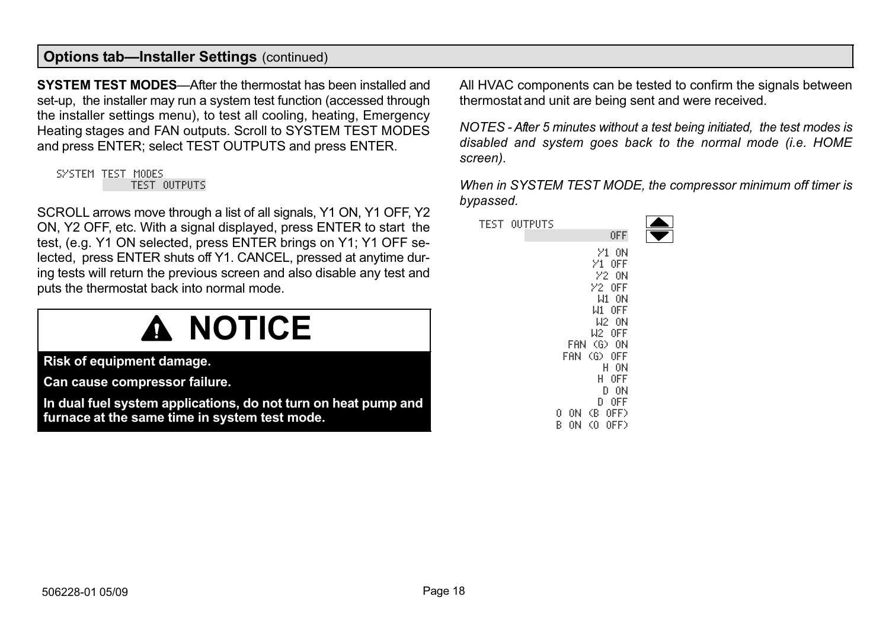<span id="page-17-0"></span>SYSTEM TEST MODES—After the thermostat has been installed and set-up, the installer may run a system test function (accessed through the installer settings menu), to test all cooling, heating, Emergency Heating stages and FAN outputs. Scroll to SYSTEM TEST MODES and press ENTER; select TEST OUTPUTS and press ENTER.

#### SYSTEM TEST MODES TEST OUTPUTS

SCROLL arrows move through a list of all signals, Y1 ON, Y1 OFF, Y2 ON, Y2 OFF, etc. With a signal displayed, press ENTER to start the test, (e.g. Y1 ON selected, press ENTER brings on Y1; Y1 OFF selected, press ENTER shuts off Y1. CANCEL, pressed at anytime during tests will return the previous screen and also disable any test and puts the thermostat back into normal mode.

# A NOTICE

Risk of equipment damage.

Can cause compressor failure.

In dual fuel system applications, do not turn on heat pump and furnace at the same time in system test mode.

All HVAC components can be tested to confirm the signals between thermostat and unit are being sent and were received.

NOTES − After 5 minutes without a test being initiated, the test modes is disabled and system goes back to the normal mode (i.e. HOME screen).

When in SYSTEM TEST MODE, the compressor minimum off timer is bypassed.

| <b>TEST OUTPUTS</b> |                       |  |
|---------------------|-----------------------|--|
|                     | 0FF                   |  |
|                     | У1.<br>ΟN             |  |
|                     | 0FF<br>И.             |  |
|                     | <b>22 ON</b>          |  |
|                     | $Y2$ OFF              |  |
|                     | W1<br>- ON            |  |
|                     | W1 OFF                |  |
|                     | W2 ON                 |  |
|                     | W2 OFF                |  |
|                     | $(G)$ ON<br>FAN       |  |
|                     | $\circ$<br>FAN<br>0FF |  |
|                     | 0N<br>Н<br>H.<br>0FF  |  |
|                     | 0N<br>D               |  |
|                     | 0FF<br>Đ.             |  |
|                     | Œ.<br>0FF)<br>0<br>0N |  |
|                     | B<br>O)<br>ΟN<br>0FF) |  |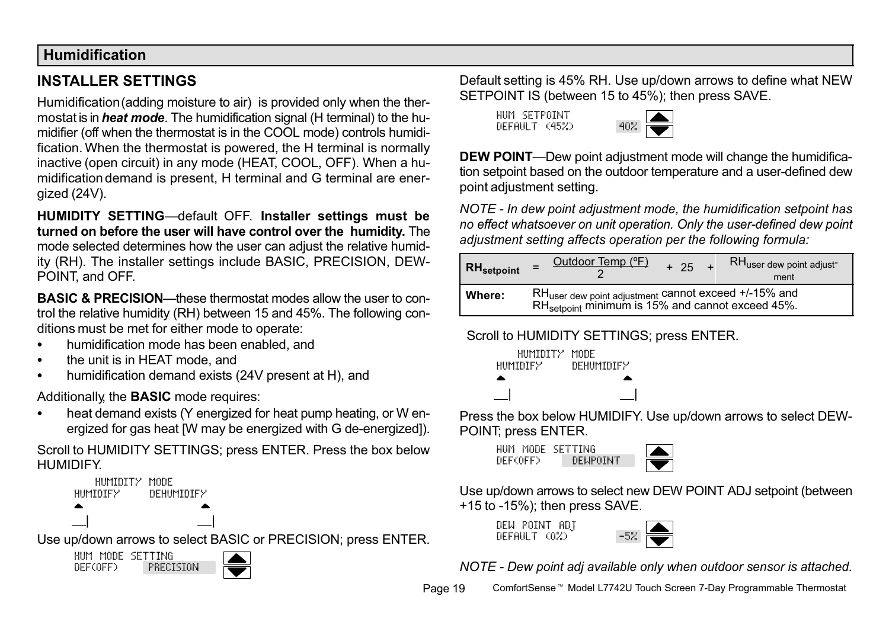#### <span id="page-18-0"></span>Humidification

# INSTALLER SETTINGS

Humidification (adding moisture to air) is provided only when the thermostat is in *heat mode*. The humidification signal (H terminal) to the humidifier (off when the thermostat is in the COOL mode) controls humidification. When the thermostat is powered, the H terminal is normally inactive (open circuit) in any mode (HEAT, COOL, OFF). When a humidification demand is present, H terminal and G terminal are energized (24V).

HUMIDITY SETTING-default OFF. Installer settings must be turned on before the user will have control over the humidity. The mode selected determines how the user can adjust the relative humidity (RH). The installer settings include BASIC, PRECISION, DEW-POINT, and OFF.

**BASIC & PRECISION**—these thermostat modes allow the user to control the relative humidity (RH) between 15 and 45%. The following conditions must be met for either mode to operate:

- $\bullet$ humidification mode has been enabled, and
- $\bullet$ the unit is in HEAT mode, and
- . humidification demand exists (24V present at H), and

Additionally, the **BASIC** mode requires:

 $\bullet$  heat demand exists (Y energized for heat pump heating, or W energized for gas heat [W may be energized with G de−energized]).

Scroll to HUMIDITY SETTINGS; press ENTER. Press the box below **HUMIDIFY** 

 HUMIDITY MODE HUMIDIFY DEHUMIDIFY | |

Use up/down arrows to select BASIC or PRECISION; press ENTER.

HUM MODE SETTING DEF(OFF) PRECISION Default setting is 45% RH. Use up/down arrows to define what NEW SETPOINT IS (between 15 to 45%); then press SAVE.

HUM SETPOINT  $DFRIII$   $(45%)$ 



DEW POINT-Dew point adjustment mode will change the humidification setpoint based on the outdoor temperature and a user−defined dew point adjustment setting.

NOTE − In dew point adjustment mode, the humidification setpoint has no effect whatsoever on unit operation. Only the user−defined dew point adjustment setting affects operation per the following formula:

| RH <sub>setpoint</sub> | Outdoor Temp (°F)<br>RH <sub>user dew point adjust</sub><br>$+ 25$<br>re to<br>ment                                              |
|------------------------|----------------------------------------------------------------------------------------------------------------------------------|
| Where:                 | RH <sub>user dew point adjustment</sub> cannot exceed +/-15% and<br>RH <sub>setpoint</sub> minimum is 15% and cannot exceed 45%. |

#### Scroll to HUMIDITY SETTINGS; press ENTER.



Press the box below HUMIDIFY. Use up/down arrows to select DEW-POINT; press ENTER.

HUM MODE SETTING DEF(OFF) DEWPOINT



Use up/down arrows to select new DEW POINT ADJ setpoint (between +15 to −15%); then press SAVE.

DEW POINT ADT DEFAULT (0%)



NOTE − Dew point adj available only when outdoor sensor is attached.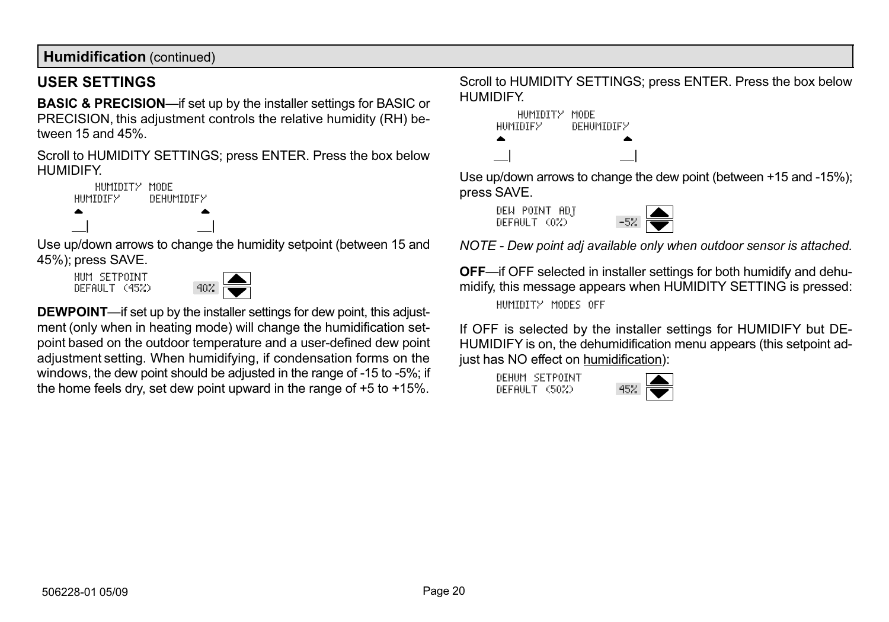<span id="page-19-0"></span>Humidification (continued)

#### USER SETTINGS

**BASIC & PRECISION**—if set up by the installer settings for BASIC or PRECISION, this adjustment controls the relative humidity (RH) between 15 and 45%.

Scroll to HUMIDITY SETTINGS; press ENTER. Press the box below HUMIDIFY.



Use up/down arrows to change the humidity setpoint (between 15 and 45%); press SAVE.

HUM SETPOINT  $DFFAllT (45%)$ 



DEWPOINT—if set up by the installer settings for dew point, this adjustment (only when in heating mode) will change the humidification setpoint based on the outdoor temperature and a user−defined dew point adjustment setting. When humidifying, if condensation forms on the windows, the dew point should be adjusted in the range of -15 to -5%; if the home feels dry, set dew point upward in the range of +5 to +15%.

Scroll to HUMIDITY SETTINGS; press ENTER. Press the box below HUMIDIFY.



Use up/down arrows to change the dew point (between +15 and −15%); press SAVE.





NOTE − Dew point adj available only when outdoor sensor is attached.

OFF-if OFF selected in installer settings for both humidify and dehumidify, this message appears when HUMIDITY SETTING is pressed: HUMIDITY MODES OFF

If OFF is selected by the installer settings for HUMIDIFY but DE-HUMIDIFY is on, the dehumidification menu appears (this setpoint adjust has NO effect on humidification):

DEHUM SETPOINT  $DEFAULT$   $$(50%)$$ 

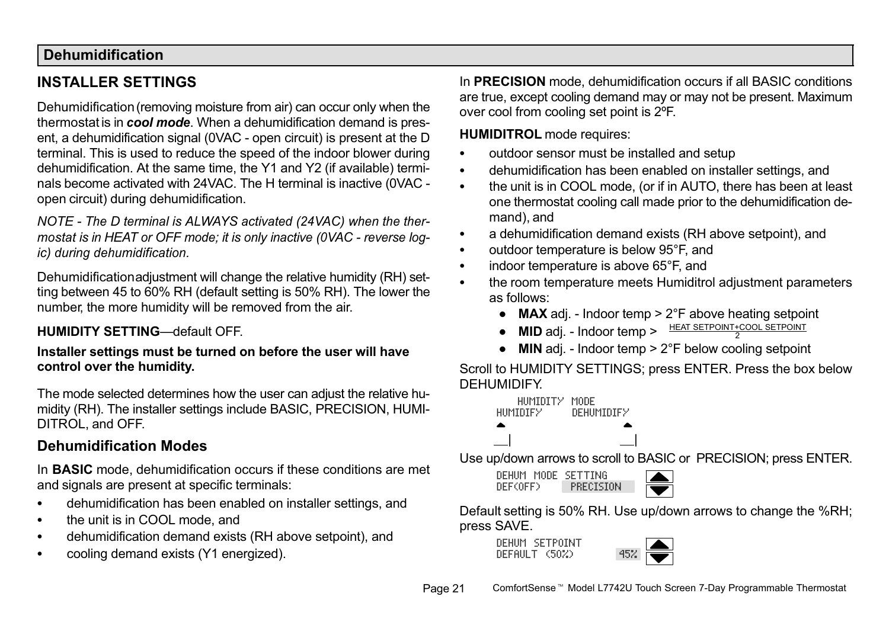# <span id="page-20-0"></span>Dehumidification

# INSTALLER SETTINGS

Dehumidification (removing moisture from air) can occur only when the thermostat is in cool mode. When a dehumidification demand is present, a dehumidification signal (0VAC - open circuit) is present at the D terminal. This is used to reduce the speed of the indoor blower during dehumidification. At the same time, the Y1 and Y2 (if available) terminals become activated with 24VAC. The H terminal is inactive (0VAC − open circuit) during dehumidification.

NOTE − The D terminal is ALWAYS activated (24VAC) when the thermostat is in HEAT or OFF mode; it is only inactive (0VAC − reverse logic) during dehumidification.

Dehumidification adjustment will change the relative humidity (RH) setting between 45 to 60% RH (default setting is 50% RH). The lower the number, the more humidity will be removed from the air.

#### HUMIDITY SETTING-default OFF.

#### Installer settings must be turned on before the user will have control over the humidity.

The mode selected determines how the user can adjust the relative humidity (RH). The installer settings include BASIC, PRECISION, HUMI-DITROL, and OFF.

## Dehumidification Modes

In **BASIC** mode, dehumidification occurs if these conditions are met and signals are present at specific terminals:

- $\bullet$ dehumidification has been enabled on installer settings, and
- $\bullet$ the unit is in COOL mode, and
- $\bullet$ dehumidification demand exists (RH above setpoint), and
- $\bullet$ cooling demand exists (Y1 energized).

In PRECISION mode, dehumidification occurs if all BASIC conditions are true, except cooling demand may or may not be present. Maximum over cool from cooling set point is 2ºF.

#### HUMIDITROL mode requires:

- . outdoor sensor must be installed and setup
- . dehumidification has been enabled on installer settings, and
- $\bullet$  the unit is in COOL mode, (or if in AUTO, there has been at least one thermostat cooling call made prior to the dehumidification demand), and
- . a dehumidification demand exists (RH above setpoint), and
- $\bullet$ outdoor temperature is below 95°F, and
- . indoor temperature is above 65°F, and
- . the room temperature meets Humiditrol adjustment parameters as follows:
	- MAX adj. Indoor temp > 2°F above heating setpoint
	- MID adj. Indoor temp > HEAT SETPOINT+COOL SETPOINT
	- MIN adj. Indoor temp > 2°F below cooling setpoint

Scroll to HUMIDITY SETTINGS; press ENTER. Press the box below DEHUMIDIFY.



Use up/down arrows to scroll to BASIC or PRECISION; press ENTER.

DEHUM MODE SETTING DEF(OFF) PRECISION



Default setting is 50% RH. Use up/down arrows to change the %RH; press SAVE.

DEHUM SETPOINT  $DFF$  $AllT <sub>50</sub>$  $25$ 

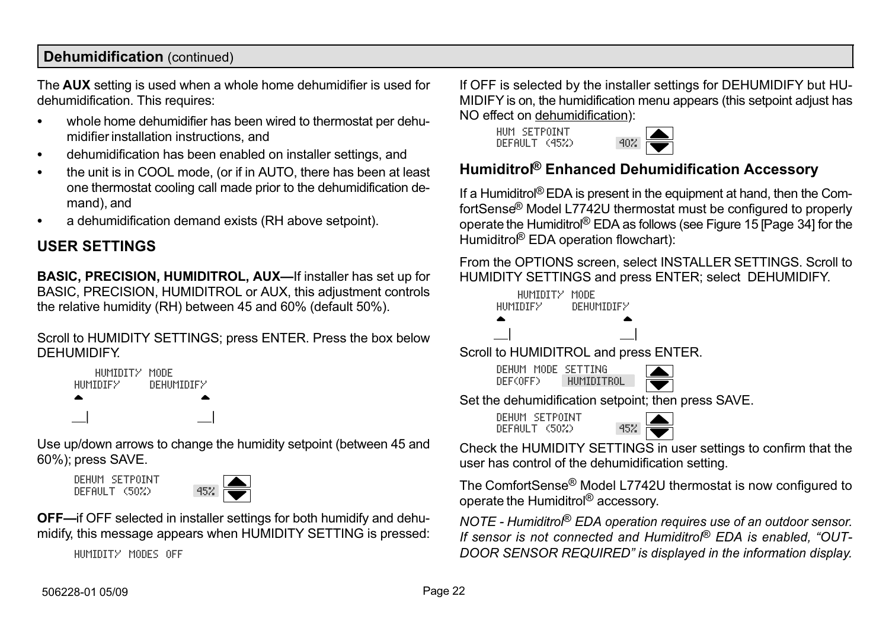### <span id="page-21-0"></span>Dehumidification (continued)

The AUX setting is used when a whole home dehumidifier is used for dehumidification. This requires:

- $\bullet$  whole home dehumidifier has been wired to thermostat per dehumidifier installation instructions, and
- $\bullet$ dehumidification has been enabled on installer settings, and
- $\bullet$  the unit is in COOL mode, (or if in AUTO, there has been at least one thermostat cooling call made prior to the dehumidification demand), and
- . a dehumidification demand exists (RH above setpoint).

## USER SETTINGS

BASIC, PRECISION, HUMIDITROL, AUX-If installer has set up for BASIC, PRECISION, HUMIDITROL or AUX, this adjustment controls the relative humidity (RH) between 45 and 60% (default 50%).

Scroll to HUMIDITY SETTINGS; press ENTER. Press the box below DEHUMIDIFY.



Use up/down arrows to change the humidity setpoint (between 45 and 60%); press SAVE.

DEHUM SETPOINT  $DFFAllT (50%)$ 



OFF-if OFF selected in installer settings for both humidify and dehumidify, this message appears when HUMIDITY SETTING is pressed:

HUMIDITY MODES OFF

If OFF is selected by the installer settings for DEHUMIDIFY but HU-MIDIFY is on, the humidification menu appears (this setpoint adjust has NO effect on dehumidification):

HUM SETPOINT  $DFF$ AULT  $(45%)$ 



## Humiditrol® Enhanced Dehumidification Accessory

If a Humiditrol® EDA is present in the equipment at hand, then the ComfortSense® Model L7742U thermostat must be configured to properly operate the Humiditrol® EDA as follows (see Figure [15 \[Page 34\]](#page-33-0) for the Humiditro<sup>®</sup> EDA operation flowchart):

From the OPTIONS screen, select INSTALLER SETTINGS. Scroll to HUMIDITY SETTINGS and press ENTER; select DEHUMIDIFY.



Check the HUMIDITY SETTINGS in user settings to confirm that the user has control of the dehumidification setting.

The ComfortSense® Model L7742U thermostat is now configured to operate the Humiditrol® accessory.

NOTE − Humiditrol® EDA operation requires use of an outdoor sensor. If sensor is not connected and Humiditrol® EDA is enabled, "OUT-DOOR SENSOR REQUIRED" is displayed in the information display.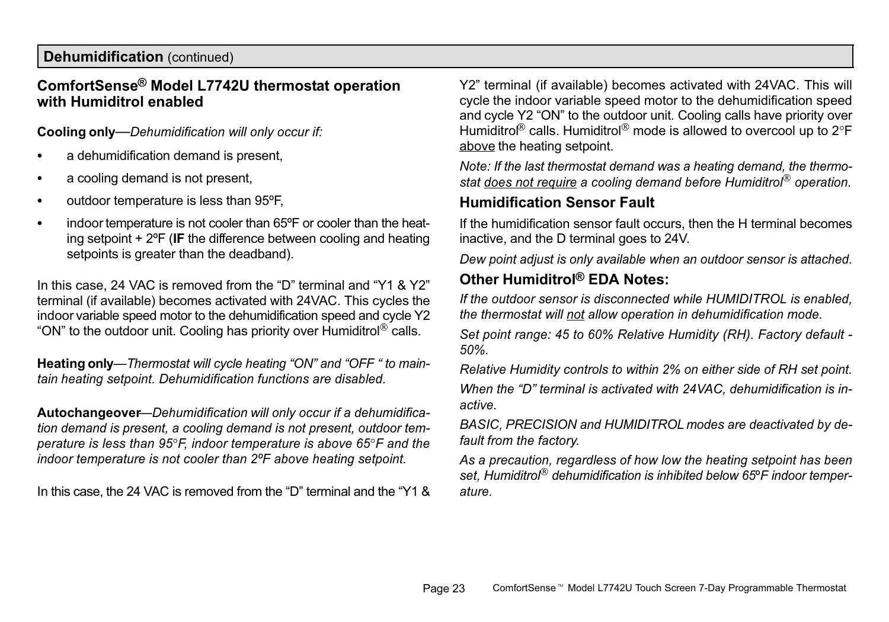#### Dehumidification (continued)

#### ComfortSense® Model L7742U thermostat operation with Humiditrol enabled

Cooling only-Dehumidification will only occur if:

- $\bullet$ a dehumidification demand is present,
- $\bullet$ a cooling demand is not present,
- . outdoor temperature is less than 95ºF,
- . indoor temperature is not cooler than 65ºF or cooler than the heating setpoint + 2ºF (IF the difference between cooling and heating setpoints is greater than the deadband).

In this case, 24 VAC is removed from the "D" terminal and "Y1 & Y2" terminal (if available) becomes activated with 24VAC. This cycles the indoor variable speed motor to the dehumidification speed and cycle Y2 "ON" to the outdoor unit. Cooling has priority over Humiditrol $^{\circledR}$  calls.

Heating only—Thermostat will cycle heating "ON" and "OFF " to maintain heating setpoint. Dehumidification functions are disabled.

Autochangeover-Dehumidification will only occur if a dehumidification demand is present, a cooling demand is not present, outdoor temperature is less than 95°F, indoor temperature is above 65°F and the indoor temperature is not cooler than 2ºF above heating setpoint.

In this case, the 24 VAC is removed from the "D" terminal and the "Y1 &

Y2" terminal (if available) becomes activated with 24VAC. This will cycle the indoor variable speed motor to the dehumidification speed and cycle Y2 "ON" to the outdoor unit. Cooling calls have priority over Humiditrol® calls. Humiditrol® mode is allowed to overcool up to 2°F above the heating setpoint.

Note: If the last thermostat demand was a heating demand, the thermostat does not require a cooling demand before Humiditrol<sup>®</sup> operation.

### Humidification Sensor Fault

If the humidification sensor fault occurs, then the H terminal becomes inactive, and the D terminal goes to 24V.

Dew point adjust is only available when an outdoor sensor is attached.

# Other Humiditrol® EDA Notes:

If the outdoor sensor is disconnected while HUMIDITROL is enabled, the thermostat will not allow operation in dehumidification mode.

Set point range: 45 to 60% Relative Humidity (RH). Factory default − 50%.

Relative Humidity controls to within 2% on either side of RH set point. When the "D" terminal is activated with 24VAC, dehumidification is inactive.

BASIC, PRECISION and HUMIDITROL modes are deactivated by default from the factory.

As a precaution, regardless of how low the heating setpoint has been set, Humiditrol<sup>®</sup> dehumidification is inhibited below 65°F indoor temperature.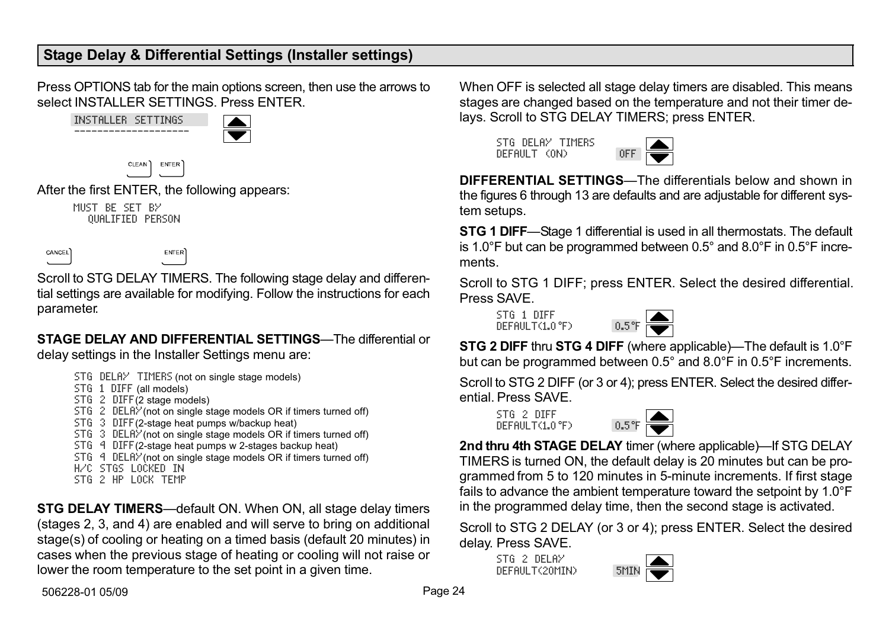<span id="page-23-0"></span>Press OPTIONS tab for the main options screen, then use the arrows to select INSTALLER SETTINGS. Press ENTER.



CANCEL

**ENTER** 

Scroll to STG DELAY TIMERS. The following stage delay and differential settings are available for modifying. Follow the instructions for each parameter.

#### STAGE DELAY AND DIFFERENTIAL SETTINGS—The differential or delay settings in the Installer Settings menu are:

STG DELAY TIMERS (not on single stage models)

- STG 1 DIFF (all models)
- STG 2 DIFF(2 stage models)
- STG 2 DELAY (not on single stage models OR if timers turned off)
- STG 3 DIFF(2−stage heat pumps w/backup heat)
- STG 3 DELRY (not on single stage models OR if timers turned off)
- STG 4 DIFF(2−stage heat pumps w 2−stages backup heat)
- STG 4 DELRY (not on single stage models OR if timers turned off)
- H/C STGS LOCKED IN
- STG 2 HP LOCK TEMP

STG DELAY TIMERS—default ON. When ON, all stage delay timers (stages 2, 3, and 4) are enabled and will serve to bring on additional stage(s) of cooling or heating on a timed basis (default 20 minutes) in cases when the previous stage of heating or cooling will not raise or lower the room temperature to the set point in a given time.

When OFF is selected all stage delay timers are disabled. This means stages are changed based on the temperature and not their timer delays. Scroll to STG DELAY TIMERS; press ENTER.

STG DELAY TIMERS DEFAULT (ON)



DIFFERENTIAL SETTINGS—The differentials below and shown in the figures [6](#page-24-0) through [13](#page-29-0) are defaults and are adjustable for different system setups.

STG 1 DIFF—Stage 1 differential is used in all thermostats. The default is 1.0°F but can be programmed between 0.5° and 8.0°F in 0.5°F increments.

Scroll to STG 1 DIFF; press ENTER. Select the desired differential. Press SAVE.

STG 1 DIFF DEFAULT(1.O°F) O.5°F



STG 2 DIFF thru STG 4 DIFF (where applicable)—The default is 1.0°F but can be programmed between 0.5° and 8.0°F in 0.5°F increments.

Scroll to STG 2 DIFF (or 3 or 4); press ENTER. Select the desired differential. Press SAVE.

STG 2 DIFF  $DFFAllT(1,0°F)$ 



2nd thru 4th STAGE DELAY timer (where applicable)—If STG DELAY TIMERS is turned ON, the default delay is 20 minutes but can be programmed from 5 to 120 minutes in 5−minute increments. If first stage fails to advance the ambient temperature toward the setpoint by 1.0°F in the programmed delay time, then the second stage is activated.

Scroll to STG 2 DELAY (or 3 or 4); press ENTER. Select the desired delay. Press SAVE.

STG 2 DELAY DEFAULT(20MIN)

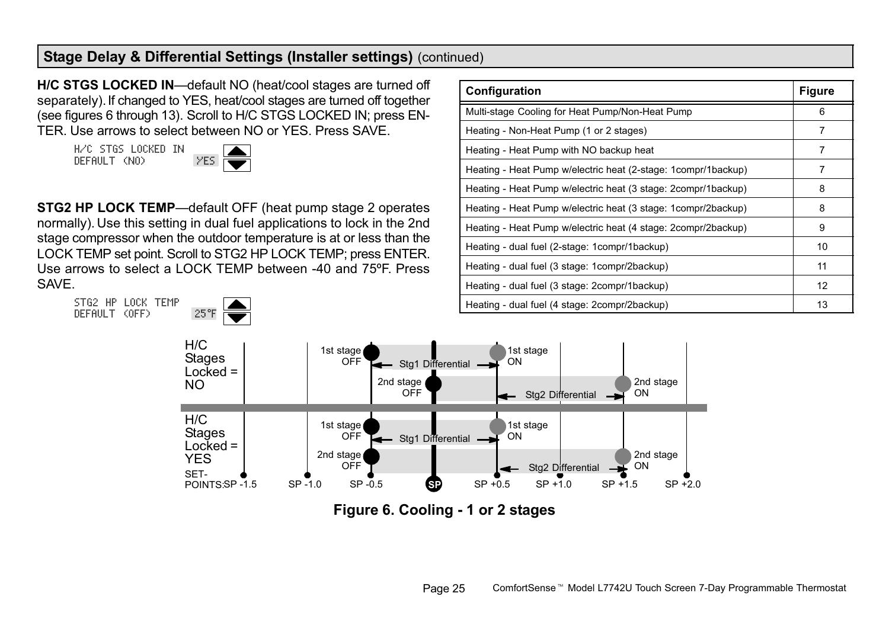<span id="page-24-0"></span>H/C STGS LOCKED IN—default NO (heat/cool stages are turned off separately). If changed to YES, heat/cool stages are turned off together (see figures 6 through [13\)](#page-29-0). Scroll to H/C STGS LOCKED IN; press EN-TER. Use arrows to select between NO or YES. Press SAVE.

H/C STGS LOCKED IN DEFAULT (NO)

STG2 HP LOCK TEMP DEFAULT (OFF) 25°F



STG2 HP LOCK TEMP—default OFF (heat pump stage 2 operates normally). Use this setting in dual fuel applications to lock in the 2nd stage compressor when the outdoor temperature is at or less than the LOCK TEMP set point. Scroll to STG2 HP LOCK TEMP; press ENTER. Use arrows to select a LOCK TEMP between −40 and 75ºF. Press SAVE.

| Configuration                                                   | <b>Figure</b> |
|-----------------------------------------------------------------|---------------|
| Multi-stage Cooling for Heat Pump/Non-Heat Pump                 | 6             |
| Heating - Non-Heat Pump (1 or 2 stages)                         | 7             |
| Heating - Heat Pump with NO backup heat                         | 7             |
| Heating - Heat Pump w/electric heat (2-stage: 1compr/1backup)   | 7             |
| Heating - Heat Pump w/electric heat (3 stage: 2compr/1backup)   | 8             |
| Heating - Heat Pump w/electric heat (3 stage: 1 compr/2 backup) | 8             |
| Heating - Heat Pump w/electric heat (4 stage: 2compr/2backup)   | 9             |
| Heating - dual fuel (2-stage: 1 compr/1 backup)                 | 10            |
| Heating - dual fuel (3 stage: 1 compr/2backup)                  | 11            |
| Heating - dual fuel (3 stage: 2compr/1backup)                   | 12            |
| Heating - dual fuel (4 stage: 2compr/2backup)                   | 13            |



Figure 6. Cooling − 1 or 2 stages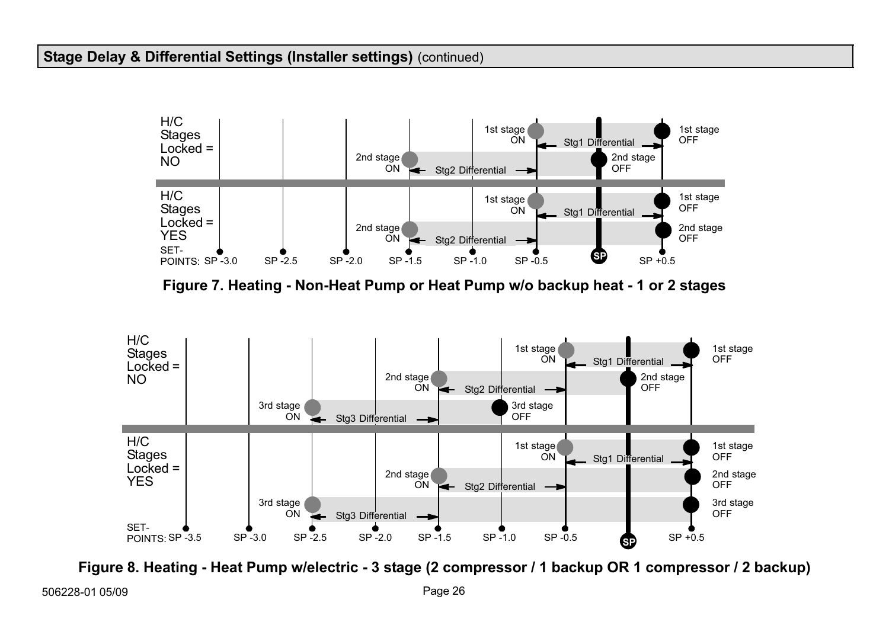<span id="page-25-0"></span>

Figure 7. Heating − Non−Heat Pump or Heat Pump w/o backup heat − 1 or 2 stages



Figure 8. Heating − Heat Pump w/electric − 3 stage (2 compressor / 1 backup OR 1 compressor / 2 backup)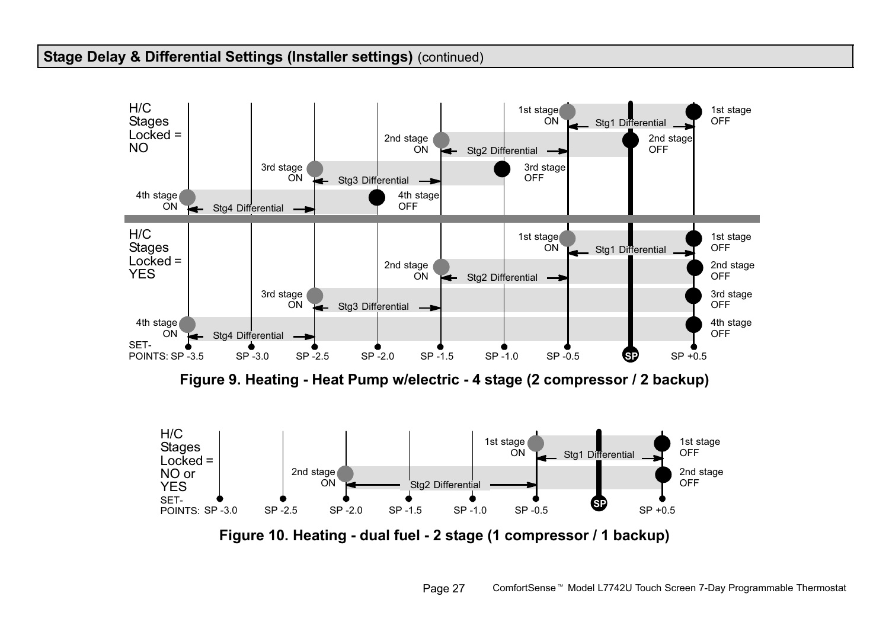<span id="page-26-0"></span>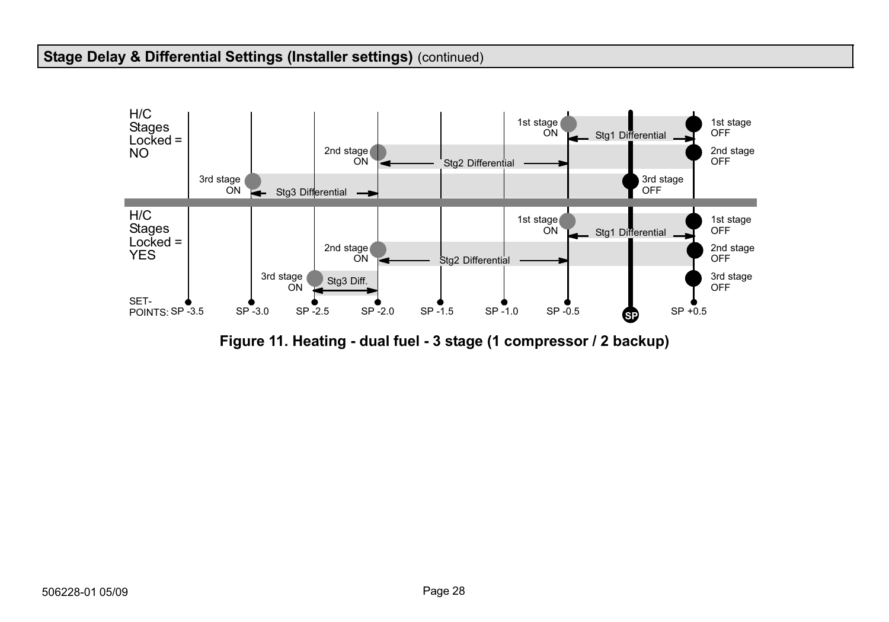<span id="page-27-0"></span>

Figure 11. Heating − dual fuel − 3 stage (1 compressor / 2 backup)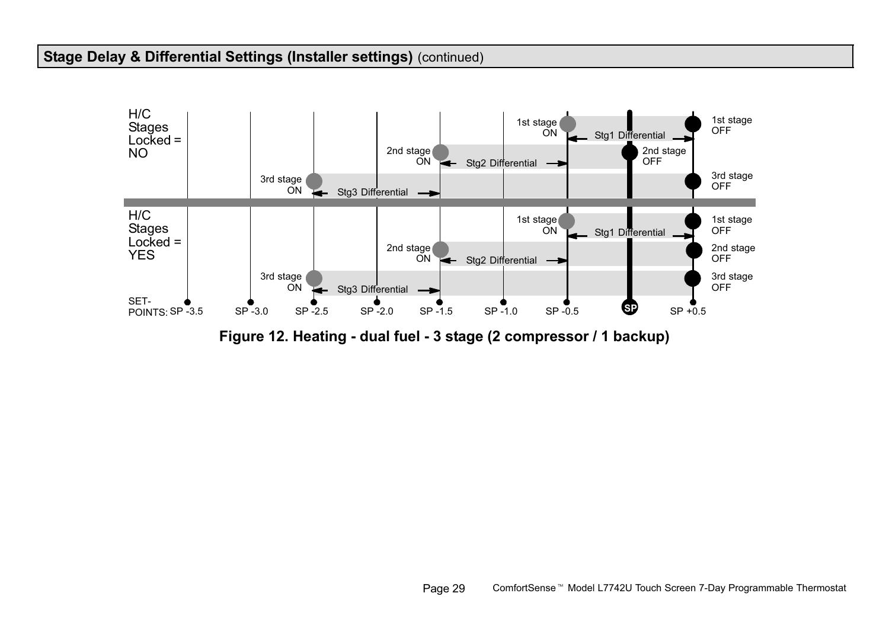<span id="page-28-0"></span>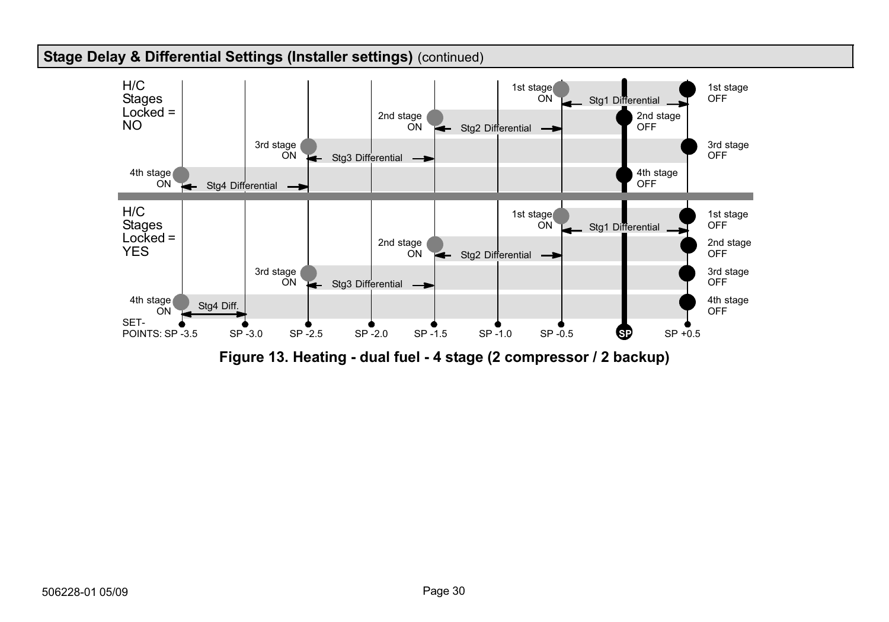<span id="page-29-0"></span>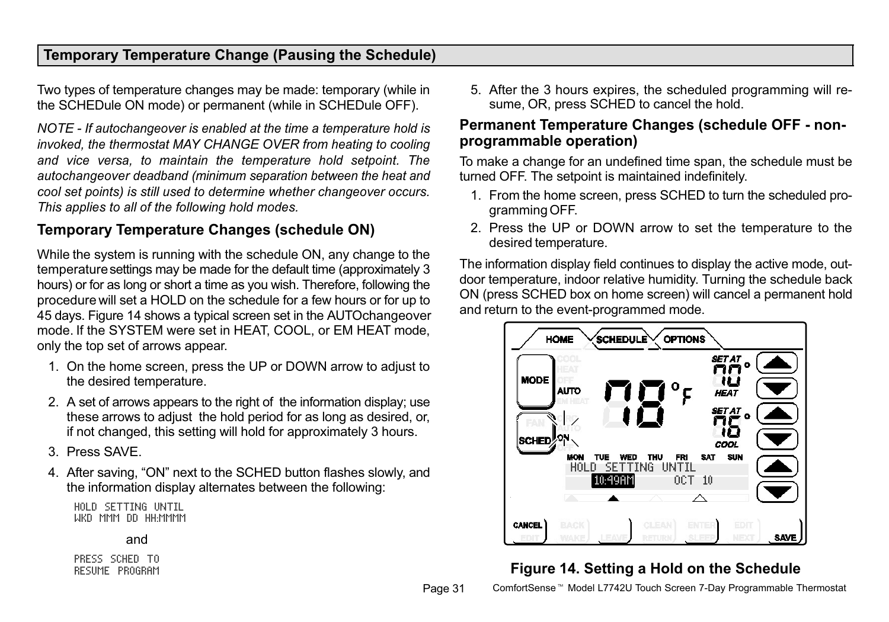## <span id="page-30-0"></span>Temporary Temperature Change (Pausing the Schedule)

Two types of temperature changes may be made: temporary (while in the SCHEDule ON mode) or permanent (while in SCHEDule OFF).

NOTE − If autochangeover is enabled at the time a temperature hold is invoked, the thermostat MAY CHANGE OVER from heating to cooling and vice versa, to maintain the temperature hold setpoint. The autochangeover deadband (minimum separation between the heat and cool set points) is still used to determine whether changeover occurs. This applies to all of the following hold modes.

## Temporary Temperature Changes (schedule ON)

While the system is running with the schedule ON, any change to the temperature settings may be made for the default time (approximately 3 hours) or for as long or short a time as you wish. Therefore, following the procedure will set a HOLD on the schedule for a few hours or for up to 45 days. Figure 14 shows a typical screen set in the AUTOchangeover mode. If the SYSTEM were set in HEAT, COOL, or EM HEAT mode, only the top set of arrows appear.

- 1. On the home screen, press the UP or DOWN arrow to adjust to the desired temperature.
- 2. A set of arrows appears to the right of the information display; use these arrows to adjust the hold period for as long as desired, or, if not changed, this setting will hold for approximately 3 hours.
- 3. Press SAVE.
- 4. After saving, "ON" next to the SCHED button flashes slowly, and the information display alternates between the following:

HOLD SETTING UNTIL WKD MMM DD HH:MMMM

#### and

PRESS SCHED TO RESUME PROGRAM 5. After the 3 hours expires, the scheduled programming will resume, OR, press SCHED to cancel the hold.

#### Permanent Temperature Changes (schedule OFF − non− programmable operation)

To make a change for an undefined time span, the schedule must be turned OFF. The setpoint is maintained indefinitely.

- 1. From the home screen, press SCHED to turn the scheduled programming OFF.
- 2. Press the UP or DOWN arrow to set the temperature to the desired temperature.

The information display field continues to display the active mode, outdoor temperature, indoor relative humidity. Turning the schedule back ON (press SCHED box on home screen) will cancel a permanent hold and return to the event-programmed mode.



# Figure 14. Setting a Hold on the Schedule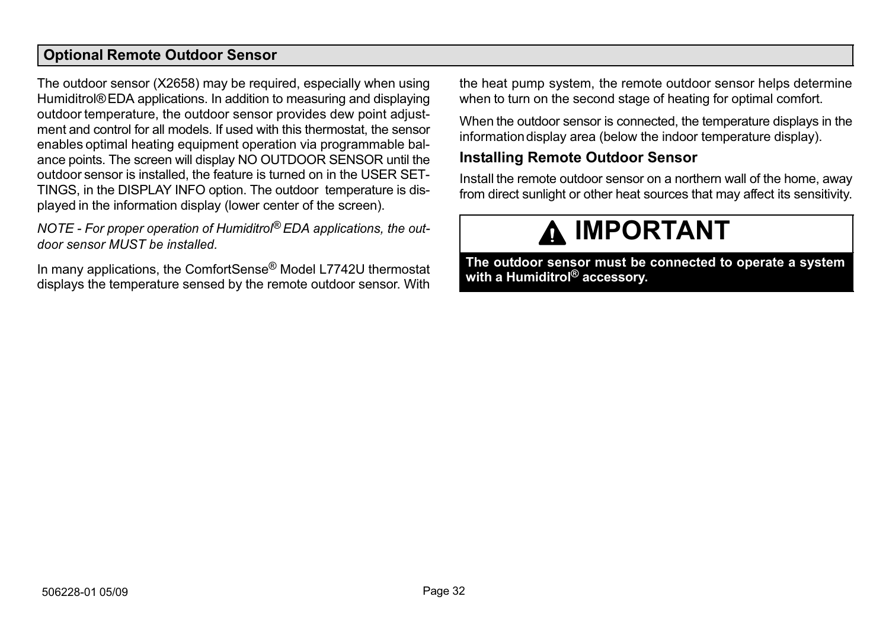#### <span id="page-31-0"></span>Optional Remote Outdoor Sensor

The outdoor sensor (X2658) may be required, especially when using Humiditrol® EDA applications. In addition to measuring and displaying outdoor temperature, the outdoor sensor provides dew point adjustment and control for all models. If used with this thermostat, the sensor enables optimal heating equipment operation via programmable balance points. The screen will display NO OUTDOOR SENSOR until the outdoor sensor is installed, the feature is turned on in the USER SET-TINGS, in the DISPLAY INFO option. The outdoor temperature is displayed in the information display (lower center of the screen).

NOTE - For proper operation of Humiditrol<sup>®</sup> EDA applications, the outdoor sensor MUST be installed.

In many applications, the ComfortSense® Model L7742U thermostat displays the temperature sensed by the remote outdoor sensor. With the heat pump system, the remote outdoor sensor helps determine when to turn on the second stage of heating for optimal comfort.

When the outdoor sensor is connected, the temperature displays in the information display area (below the indoor temperature display).

#### Installing Remote Outdoor Sensor

Install the remote outdoor sensor on a northern wall of the home, away from direct sunlight or other heat sources that may affect its sensitivity.

# **A IMPORTANT**

The outdoor sensor must be connected to operate a system with a Humiditrol<sup>®</sup> accessory.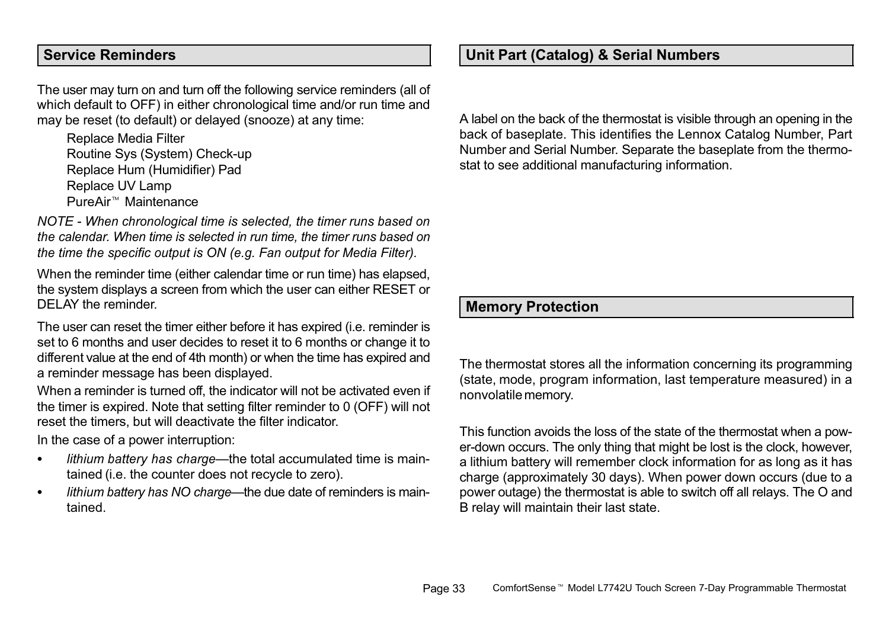#### <span id="page-32-0"></span>Service Reminders

The user may turn on and turn off the following service reminders (all of which default to OFF) in either chronological time and/or run time and may be reset (to default) or delayed (snooze) at any time:

Replace Media Filter Routine Sys (System) Check−up Replace Hum (Humidifier) Pad Replace UV Lamp PureAir Maintenance

NOTE − When chronological time is selected, the timer runs based on the calendar. When time is selected in run time, the timer runs based on the time the specific output is ON (e.g. Fan output for Media Filter).

When the reminder time (either calendar time or run time) has elapsed. the system displays a screen from which the user can either RESET or DELAY the reminder.

The user can reset the timer either before it has expired (i.e. reminder is set to 6 months and user decides to reset it to 6 months or change it to different value at the end of 4th month) or when the time has expired and a reminder message has been displayed.

When a reminder is turned off, the indicator will not be activated even if the timer is expired. Note that setting filter reminder to 0 (OFF) will not reset the timers, but will deactivate the filter indicator.

In the case of a power interruption:

- . • lithium battery has charge—the total accumulated time is maintained (i.e. the counter does not recycle to zero).
- $\bullet$ • lithium battery has NO charge—the due date of reminders is maintained.

#### Unit Part (Catalog) & Serial Numbers

A label on the back of the thermostat is visible through an opening in the back of baseplate. This identifies the Lennox Catalog Number, Part Number and Serial Number. Separate the baseplate from the thermostat to see additional manufacturing information.

#### Memory Protection

The thermostat stores all the information concerning its programming (state, mode, program information, last temperature measured) in a nonvolatile memory.

This function avoids the loss of the state of the thermostat when a power−down occurs. The only thing that might be lost is the clock, however, a lithium battery will remember clock information for as long as it has charge (approximately 30 days). When power down occurs (due to a power outage) the thermostat is able to switch off all relays. The O and B relay will maintain their last state.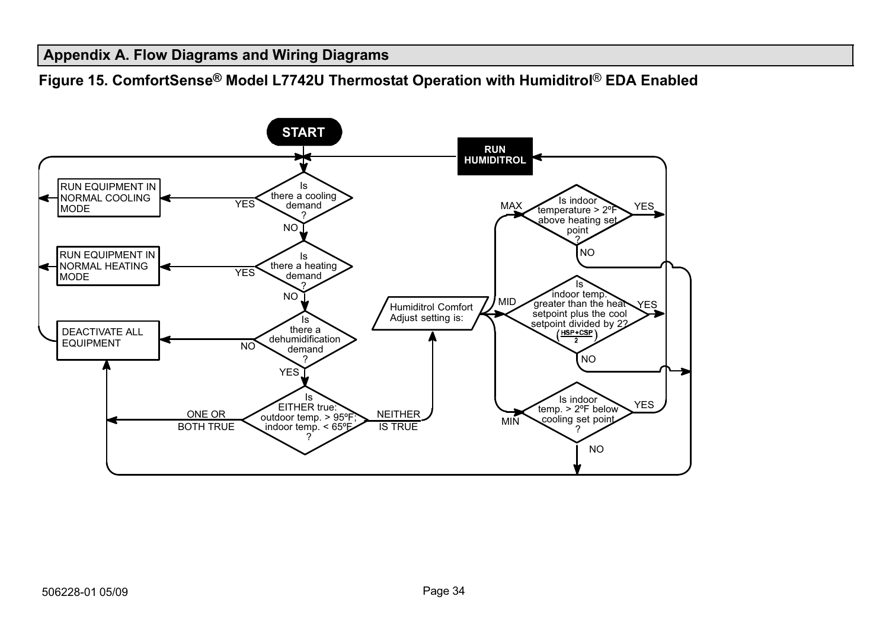#### <span id="page-33-0"></span>Appendix A. Flow Diagrams and Wiring Diagrams

Figure 15. ComfortSense® Model L7742U Thermostat Operation with Humiditrol® EDA Enabled

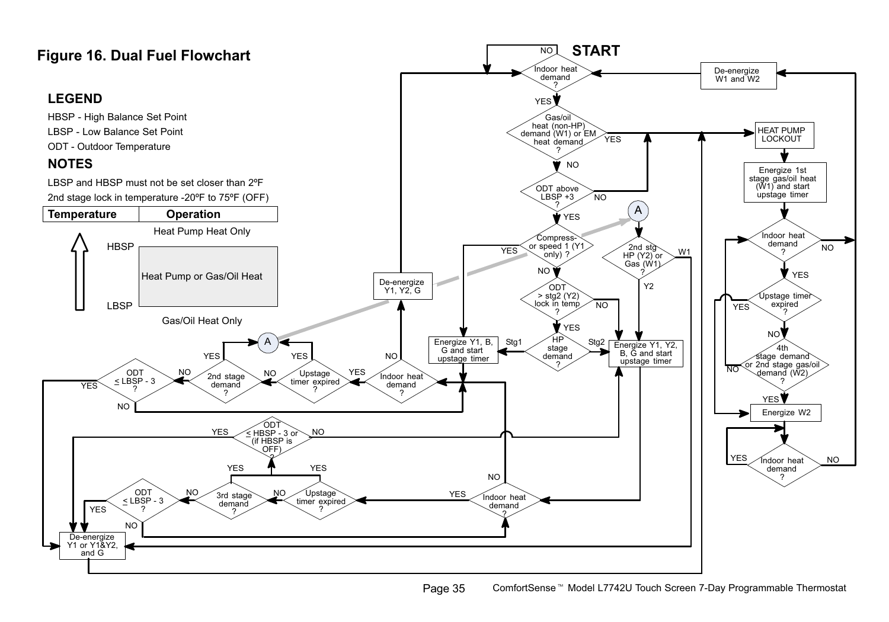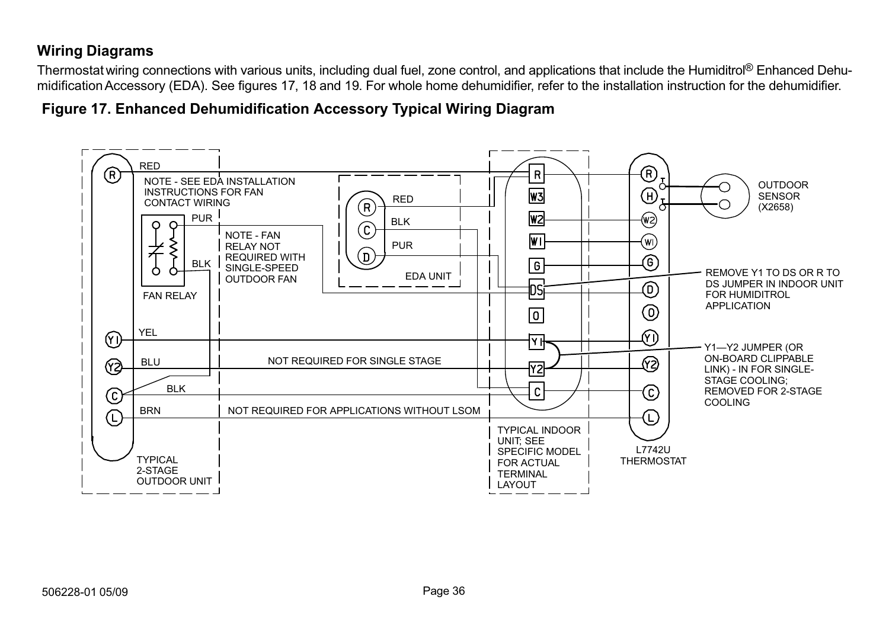# Wiring Diagrams

Thermostat wiring connections with various units, including dual fuel, zone control, and applications that include the Humiditrol® Enhanced Dehumidification Accessory (EDA). See figures 17, [18](#page-36-0) and [19.](#page-37-0) For whole home dehumidifier, refer to the installation instruction for the dehumidifier.

Figure 17. Enhanced Dehumidification Accessory Typical Wiring Diagram

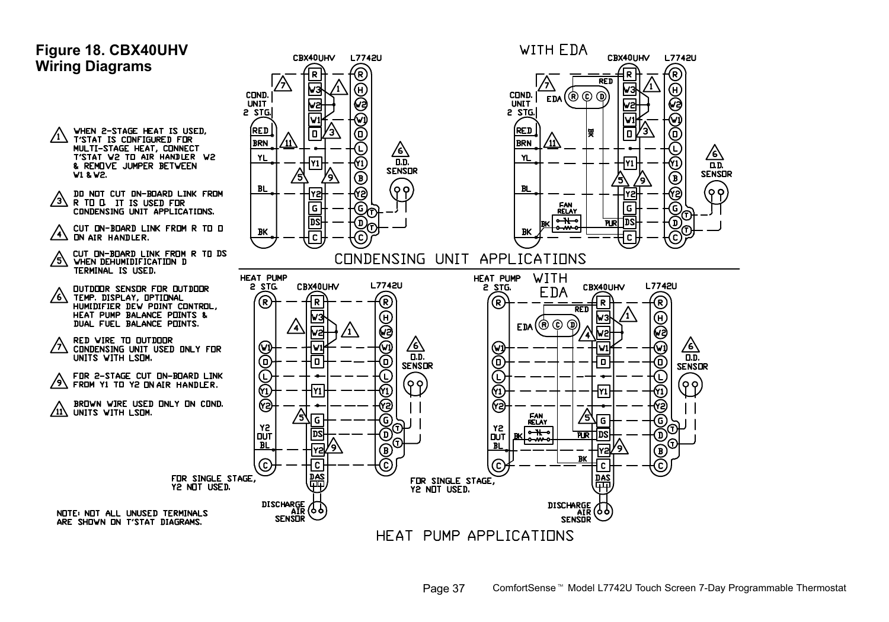#### <span id="page-36-0"></span>Figure 18. CBX40UHV Wiring Diagrams

- WHEN 2-STAGE HEAT IS USED, /1\ **T'STAT IS CONFIGURED FOR** MULTI-STAGE HEAT, CONNECT<br>T'STAT V2 TD AIR HANDLER V2 & REMOVE JUMPER BETWEEN V1 & V2.
- DO NOT CUT ON-BOARD LINK FROM /3\ R TO D. IT IS USED FOR<br>CONDENSING UNIT APPLICATIONS.
- CUT DN-BDARD LINK FROM R TO D  $\overline{\mathcal{A}}$ **ON AIR HANDLER**
- cut DN-BDARD LINK FROM R TO DS<br>WHEN DEHUMIDIFICATION D Ѧ TERMINAL IS USED.
- OUTDOOR SENSOR FOR OUTDOOR ⁄6∖ TEMP. DISPLAY, OPTIONAL HUMIDIFIER DEV POINT CONTROL, HEAT PUMP BALANCE POINTS & DUAL FUEL BALANCE POINTS.
- RED VIRE TO OUTDOOR ∕ላ CONDENSING UNIT USED ONLY FOR UNITS WITH LSOM.
- FOR 2-STAGE CUT ON-BOARD LINK  $\sqrt{9}$  FROM Y1 TO Y2 ON AIR HANDLER.

BROWN WIRE USED ONLY ON COND. 11\ UNITS WITH LSOM.



HEAT PUMP APPLICATIONS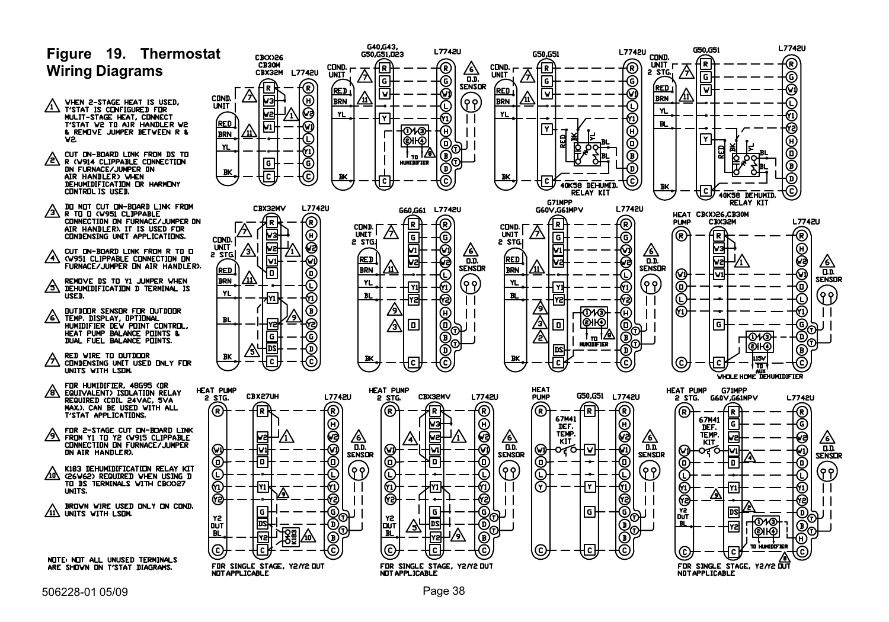<span id="page-37-0"></span>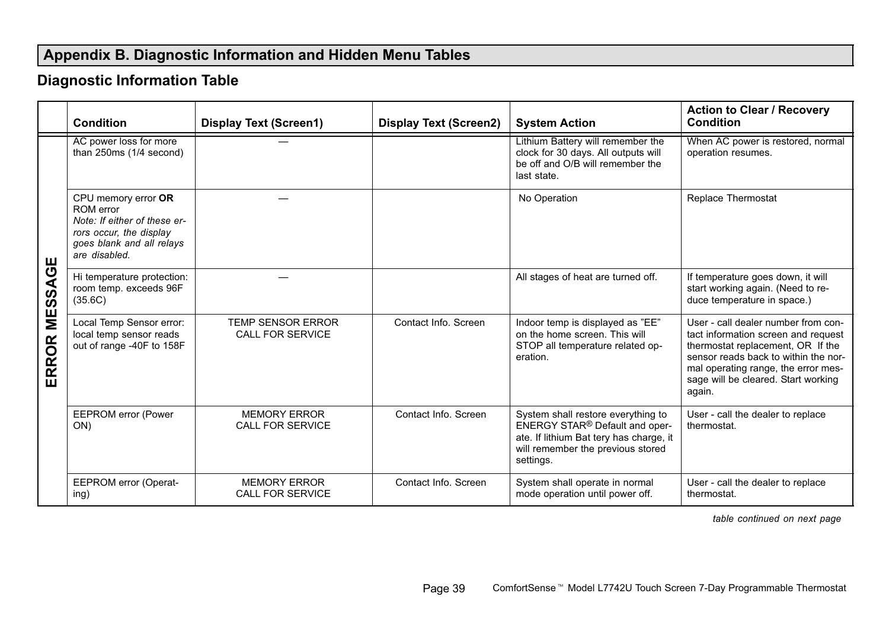# <span id="page-38-0"></span>Appendix B. Diagnostic Information and Hidden Menu Tables

# Diagnostic Information Table

|                      | Condition                                                                                                                                 | <b>Display Text (Screen1)</b>                  | <b>Display Text (Screen2)</b> | <b>System Action</b>                                                                                                                                                          | <b>Action to Clear / Recovery</b><br>Condition                                                                                                                                                                                                  |
|----------------------|-------------------------------------------------------------------------------------------------------------------------------------------|------------------------------------------------|-------------------------------|-------------------------------------------------------------------------------------------------------------------------------------------------------------------------------|-------------------------------------------------------------------------------------------------------------------------------------------------------------------------------------------------------------------------------------------------|
| ш<br>MESSAG<br>ERROR | AC power loss for more<br>than 250ms (1/4 second)                                                                                         |                                                |                               | Lithium Battery will remember the<br>clock for 30 days. All outputs will<br>be off and O/B will remember the<br>last state.                                                   | When AC power is restored, normal<br>operation resumes.                                                                                                                                                                                         |
|                      | CPU memory error OR<br>ROM error<br>Note: If either of these er-<br>rors occur, the display<br>goes blank and all relays<br>are disabled. |                                                |                               | No Operation                                                                                                                                                                  | Replace Thermostat                                                                                                                                                                                                                              |
|                      | Hi temperature protection:<br>room temp. exceeds 96F<br>(35.6C)                                                                           |                                                |                               | All stages of heat are turned off.                                                                                                                                            | If temperature goes down, it will<br>start working again. (Need to re-<br>duce temperature in space.)                                                                                                                                           |
|                      | Local Temp Sensor error:<br>local temp sensor reads<br>out of range -40F to 158F                                                          | <b>TEMP SENSOR ERROR</b><br>CALL FOR SERVICE   | Contact Info. Screen          | Indoor temp is displayed as "EE"<br>on the home screen. This will<br>STOP all temperature related op-<br>eration.                                                             | User - call dealer number from con-<br>tact information screen and request<br>thermostat replacement, OR If the<br>sensor reads back to within the nor-<br>mal operating range, the error mes-<br>sage will be cleared. Start working<br>again. |
|                      | <b>EEPROM</b> error (Power<br>ON)                                                                                                         | <b>MEMORY ERROR</b><br><b>CALL FOR SERVICE</b> | Contact Info. Screen          | System shall restore everything to<br>ENERGY STAR <sup>®</sup> Default and oper-<br>ate. If lithium Bat tery has charge, it<br>will remember the previous stored<br>settings. | User - call the dealer to replace<br>thermostat.                                                                                                                                                                                                |
|                      | EEPROM error (Operat-<br>ing)                                                                                                             | <b>MEMORY ERROR</b><br><b>CALL FOR SERVICE</b> | Contact Info. Screen          | System shall operate in normal<br>mode operation until power off.                                                                                                             | User - call the dealer to replace<br>thermostat.                                                                                                                                                                                                |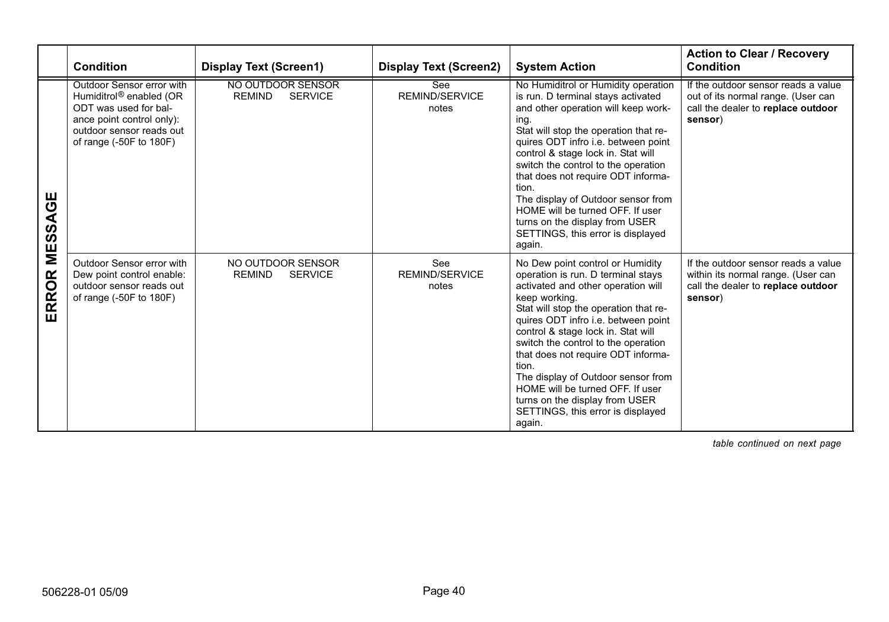|                 | Condition                                                                                                                                                                     | <b>Display Text (Screen1)</b>                        | <b>Display Text (Screen2)</b>  | <b>System Action</b>                                                                                                                                                                                                                                                                                                                                                                                                                                                                                 | <b>Action to Clear / Recovery</b><br>Condition                                                                             |
|-----------------|-------------------------------------------------------------------------------------------------------------------------------------------------------------------------------|------------------------------------------------------|--------------------------------|------------------------------------------------------------------------------------------------------------------------------------------------------------------------------------------------------------------------------------------------------------------------------------------------------------------------------------------------------------------------------------------------------------------------------------------------------------------------------------------------------|----------------------------------------------------------------------------------------------------------------------------|
| ଞ<br>⋖<br>MESS. | Outdoor Sensor error with<br>Humiditrol <sup>®</sup> enabled (OR<br>ODT was used for bal-<br>ance point control only):<br>outdoor sensor reads out<br>of range (-50F to 180F) | NO OUTDOOR SENSOR<br><b>REMIND</b><br><b>SERVICE</b> | See<br>REMIND/SERVICE<br>notes | No Humiditrol or Humidity operation<br>is run. D terminal stays activated<br>and other operation will keep work-<br>ing.<br>Stat will stop the operation that re-<br>quires ODT infro i.e. between point<br>control & stage lock in. Stat will<br>switch the control to the operation<br>that does not require ODT informa-<br>tion.<br>The display of Outdoor sensor from<br>HOME will be turned OFF. If user<br>turns on the display from USER<br>SETTINGS, this error is displayed<br>again.      | If the outdoor sensor reads a value<br>out of its normal range. (User can<br>call the dealer to replace outdoor<br>sensor) |
| ERROR           | Outdoor Sensor error with<br>Dew point control enable:<br>outdoor sensor reads out<br>of range (-50F to 180F)                                                                 | NO OUTDOOR SENSOR<br><b>REMIND</b><br><b>SERVICE</b> | See<br>REMIND/SERVICE<br>notes | No Dew point control or Humidity<br>operation is run. D terminal stays<br>activated and other operation will<br>keep working.<br>Stat will stop the operation that re-<br>quires ODT infro i.e. between point<br>control & stage lock in. Stat will<br>switch the control to the operation<br>that does not require ODT informa-<br>tion.<br>The display of Outdoor sensor from<br>HOME will be turned OFF. If user<br>turns on the display from USER<br>SETTINGS, this error is displayed<br>again. | If the outdoor sensor reads a value<br>within its normal range. (User can<br>call the dealer to replace outdoor<br>sensor) |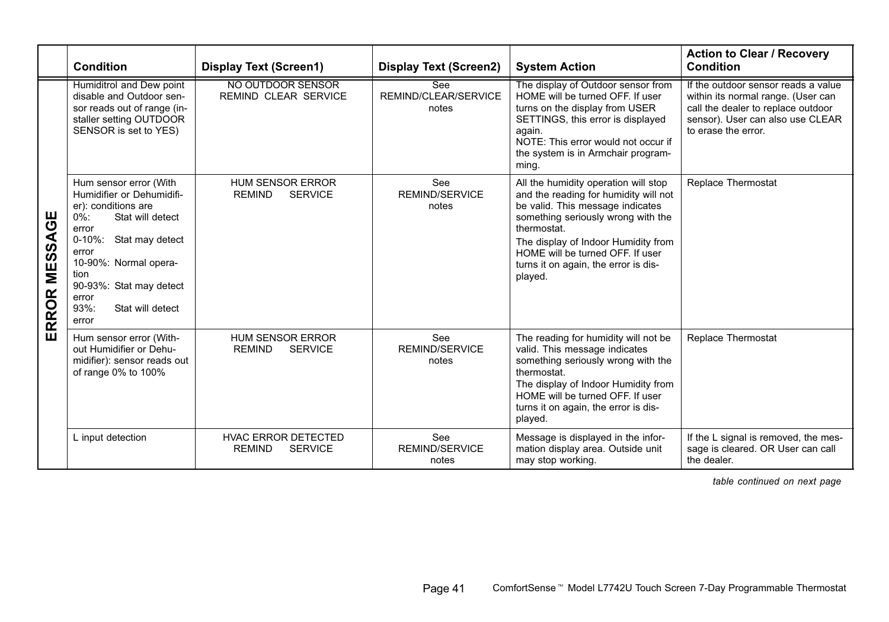|                  | Condition                                                                                                                                                                                                                                                                | <b>Display Text (Screen1)</b>                                 | <b>Display Text (Screen2)</b>         | <b>System Action</b>                                                                                                                                                                                                                                                                                 | <b>Action to Clear / Recovery</b><br>Condition                                                                                                                             |  |
|------------------|--------------------------------------------------------------------------------------------------------------------------------------------------------------------------------------------------------------------------------------------------------------------------|---------------------------------------------------------------|---------------------------------------|------------------------------------------------------------------------------------------------------------------------------------------------------------------------------------------------------------------------------------------------------------------------------------------------------|----------------------------------------------------------------------------------------------------------------------------------------------------------------------------|--|
| θ<br>ERROR MESSA | Humiditrol and Dew point<br>disable and Outdoor sen-<br>sor reads out of range (in-<br>staller setting OUTDOOR<br>SENSOR is set to YES)                                                                                                                                  | NO OUTDOOR SENSOR<br>REMIND CLEAR SERVICE                     | See<br>REMIND/CLEAR/SERVICE<br>notes  | The display of Outdoor sensor from<br>HOME will be turned OFF. If user<br>turns on the display from USER<br>SETTINGS, this error is displayed<br>again.<br>NOTE: This error would not occur if<br>the system is in Armchair program-<br>ming.                                                        | If the outdoor sensor reads a value<br>within its normal range. (User can<br>call the dealer to replace outdoor<br>sensor). User can also use CLEAR<br>to erase the error. |  |
|                  | Hum sensor error (With<br>Humidifier or Dehumidifi-<br>er): conditions are<br>$0\%$ :<br>Stat will detect<br>error<br>$0 - 10\%$ :<br>Stat may detect<br>error<br>10-90%: Normal opera-<br>tion<br>90-93%: Stat may detect<br>error<br>93%:<br>Stat will detect<br>error | <b>HUM SENSOR ERROR</b><br><b>REMIND</b><br><b>SERVICE</b>    | See<br>REMIND/SERVICE<br>notes        | All the humidity operation will stop<br>and the reading for humidity will not<br>be valid. This message indicates<br>something seriously wrong with the<br>thermostat.<br>The display of Indoor Humidity from<br>HOME will be turned OFF. If user<br>turns it on again, the error is dis-<br>played. | Replace Thermostat                                                                                                                                                         |  |
|                  | Hum sensor error (With-<br>out Humidifier or Dehu-<br>midifier): sensor reads out<br>of range 0% to 100%                                                                                                                                                                 | <b>HUM SENSOR ERROR</b><br><b>REMIND</b><br><b>SERVICE</b>    | See<br><b>REMIND/SERVICE</b><br>notes | The reading for humidity will not be<br>valid. This message indicates<br>something seriously wrong with the<br>thermostat.<br>The display of Indoor Humidity from<br>HOME will be turned OFF. If user<br>turns it on again, the error is dis-<br>played.                                             | Replace Thermostat                                                                                                                                                         |  |
|                  | L input detection                                                                                                                                                                                                                                                        | <b>HVAC ERROR DETECTED</b><br><b>SERVICE</b><br><b>REMIND</b> | See<br>REMIND/SERVICE<br>notes        | Message is displayed in the infor-<br>mation display area. Outside unit<br>may stop working.                                                                                                                                                                                                         | If the L signal is removed, the mes-<br>sage is cleared. OR User can call<br>the dealer.                                                                                   |  |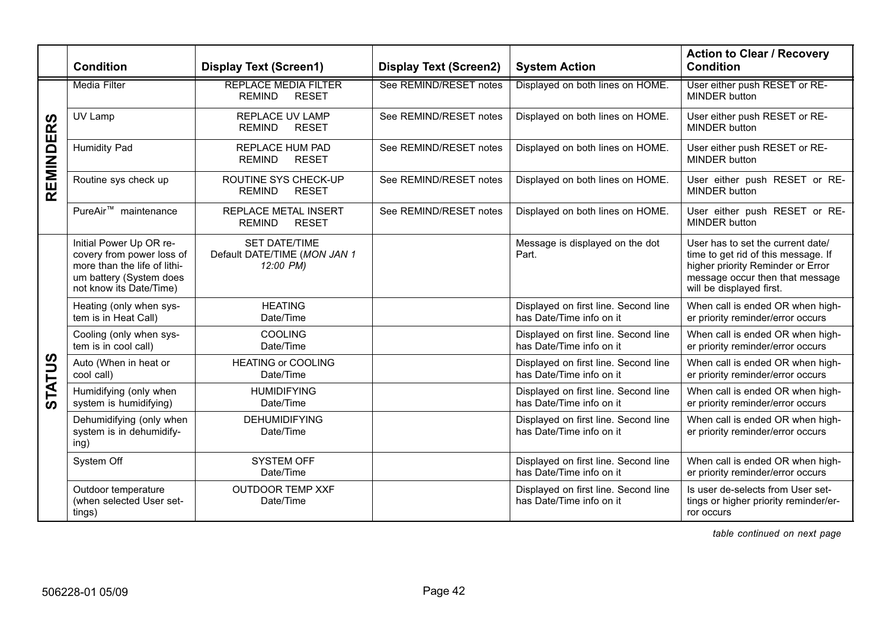|                  | Condition                                                                                                                                  | <b>Display Text (Screen1)</b>                                     | <b>Display Text (Screen2)</b> | <b>System Action</b>                                             | <b>Action to Clear / Recovery</b><br>Condition                                                                                                                               |
|------------------|--------------------------------------------------------------------------------------------------------------------------------------------|-------------------------------------------------------------------|-------------------------------|------------------------------------------------------------------|------------------------------------------------------------------------------------------------------------------------------------------------------------------------------|
| <b>REMINDERS</b> | Media Filter                                                                                                                               | <b>REPLACE MEDIA FILTER</b><br><b>REMIND</b><br><b>RESET</b>      | See REMIND/RESET notes        | Displayed on both lines on HOME.                                 | User either push RESET or RE-<br><b>MINDER</b> button                                                                                                                        |
|                  | UV Lamp                                                                                                                                    | <b>REPLACE UV LAMP</b><br><b>REMIND</b><br><b>RESET</b>           | See REMIND/RESET notes        | Displayed on both lines on HOME.                                 | User either push RESET or RE-<br><b>MINDER</b> button                                                                                                                        |
|                  | Humidity Pad                                                                                                                               | REPLACE HUM PAD<br><b>REMIND</b><br><b>RESET</b>                  | See REMIND/RESET notes        | Displayed on both lines on HOME.                                 | User either push RESET or RE-<br>MINDER button                                                                                                                               |
|                  | Routine sys check up                                                                                                                       | ROUTINE SYS CHECK-UP<br><b>REMIND</b><br><b>RESET</b>             | See REMIND/RESET notes        | Displayed on both lines on HOME.                                 | User either push RESET or RE-<br><b>MINDER</b> button                                                                                                                        |
|                  | PureAir <sup>™</sup> maintenance                                                                                                           | <b>REPLACE METAL INSERT</b><br><b>RESET</b><br><b>REMIND</b>      | See REMIND/RESET notes        | Displayed on both lines on HOME.                                 | User either push RESET or RE-<br><b>MINDER</b> button                                                                                                                        |
|                  | Initial Power Up OR re-<br>covery from power loss of<br>more than the life of lithi-<br>um battery (System does<br>not know its Date/Time) | <b>SET DATE/TIME</b><br>Default DATE/TIME (MON JAN 1<br>12:00 PM) |                               | Message is displayed on the dot<br>Part.                         | User has to set the current date/<br>time to get rid of this message. If<br>higher priority Reminder or Error<br>message occur then that message<br>will be displayed first. |
|                  | Heating (only when sys-<br>tem is in Heat Call)                                                                                            | <b>HEATING</b><br>Date/Time                                       |                               | Displayed on first line. Second line<br>has Date/Time info on it | When call is ended OR when high-<br>er priority reminder/error occurs                                                                                                        |
|                  | Cooling (only when sys-<br>tem is in cool call)                                                                                            | COOLING<br>Date/Time                                              |                               | Displayed on first line. Second line<br>has Date/Time info on it | When call is ended OR when high-<br>er priority reminder/error occurs                                                                                                        |
| <b>STATUS</b>    | Auto (When in heat or<br>cool call)                                                                                                        | <b>HEATING or COOLING</b><br>Date/Time                            |                               | Displayed on first line. Second line<br>has Date/Time info on it | When call is ended OR when high-<br>er priority reminder/error occurs                                                                                                        |
|                  | Humidifying (only when<br>system is humidifying)                                                                                           | <b>HUMIDIFYING</b><br>Date/Time                                   |                               | Displayed on first line. Second line<br>has Date/Time info on it | When call is ended OR when high-<br>er priority reminder/error occurs                                                                                                        |
|                  | Dehumidifying (only when<br>system is in dehumidify-<br>ing)                                                                               | <b>DEHUMIDIFYING</b><br>Date/Time                                 |                               | Displayed on first line. Second line<br>has Date/Time info on it | When call is ended OR when high-<br>er priority reminder/error occurs                                                                                                        |
|                  | System Off                                                                                                                                 | <b>SYSTEM OFF</b><br>Date/Time                                    |                               | Displayed on first line. Second line<br>has Date/Time info on it | When call is ended OR when high-<br>er priority reminder/error occurs                                                                                                        |
|                  | Outdoor temperature<br>(when selected User set-<br>tings)                                                                                  | <b>OUTDOOR TEMP XXF</b><br>Date/Time                              |                               | Displayed on first line. Second line<br>has Date/Time info on it | Is user de-selects from User set-<br>tings or higher priority reminder/er-<br>ror occurs                                                                                     |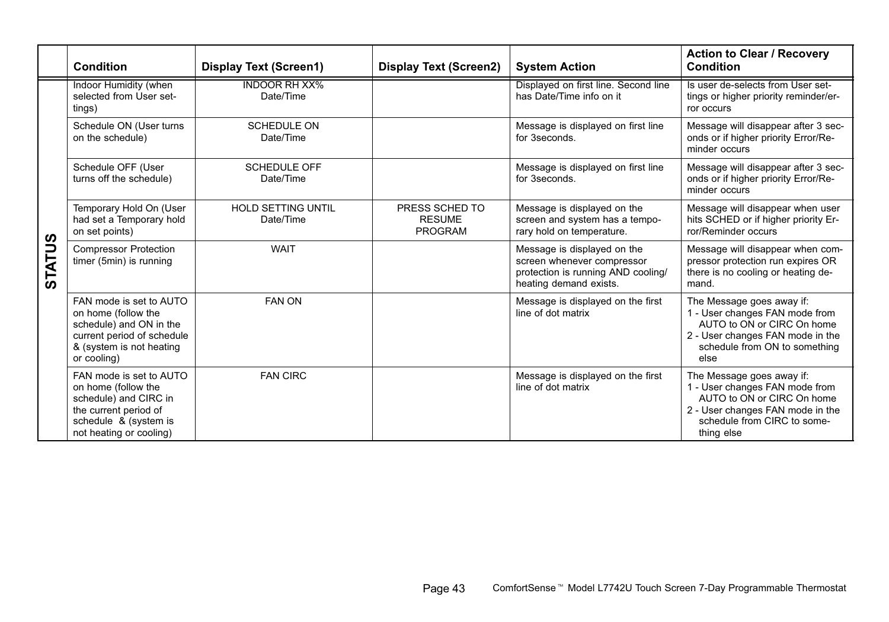|               | Condition                                                                                                                                            | <b>Display Text (Screen1)</b>          | <b>Display Text (Screen2)</b>                     | <b>System Action</b>                                                                                                      | <b>Action to Clear / Recovery</b><br>Condition                                                                                                                             |
|---------------|------------------------------------------------------------------------------------------------------------------------------------------------------|----------------------------------------|---------------------------------------------------|---------------------------------------------------------------------------------------------------------------------------|----------------------------------------------------------------------------------------------------------------------------------------------------------------------------|
| <b>STATUS</b> | Indoor Humidity (when<br>selected from User set-<br>tings)                                                                                           | <b>INDOOR RH XX%</b><br>Date/Time      |                                                   | Displayed on first line. Second line<br>has Date/Time info on it                                                          | Is user de-selects from User set-<br>tings or higher priority reminder/er-<br>ror occurs                                                                                   |
|               | Schedule ON (User turns<br>on the schedule)                                                                                                          | <b>SCHEDULE ON</b><br>Date/Time        |                                                   | Message is displayed on first line<br>for 3seconds.                                                                       | Message will disappear after 3 sec-<br>onds or if higher priority Error/Re-<br>minder occurs                                                                               |
|               | Schedule OFF (User<br>turns off the schedule)                                                                                                        | <b>SCHEDULE OFF</b><br>Date/Time       |                                                   | Message is displayed on first line<br>for 3seconds.                                                                       | Message will disappear after 3 sec-<br>onds or if higher priority Error/Re-<br>minder occurs                                                                               |
|               | Temporary Hold On (User<br>had set a Temporary hold<br>on set points)                                                                                | <b>HOLD SETTING UNTIL</b><br>Date/Time | PRESS SCHED TO<br><b>RESUME</b><br><b>PROGRAM</b> | Message is displayed on the<br>screen and system has a tempo-<br>rary hold on temperature.                                | Message will disappear when user<br>hits SCHED or if higher priority Er-<br>ror/Reminder occurs                                                                            |
|               | <b>Compressor Protection</b><br>timer (5min) is running                                                                                              | WAIT                                   |                                                   | Message is displayed on the<br>screen whenever compressor<br>protection is running AND cooling/<br>heating demand exists. | Message will disappear when com-<br>pressor protection run expires OR<br>there is no cooling or heating de-<br>mand.                                                       |
|               | FAN mode is set to AUTO<br>on home (follow the<br>schedule) and ON in the<br>current period of schedule<br>& (system is not heating<br>or cooling)   | <b>FAN ON</b>                          |                                                   | Message is displayed on the first<br>line of dot matrix                                                                   | The Message goes away if:<br>1 - User changes FAN mode from<br>AUTO to ON or CIRC On home<br>2 - User changes FAN mode in the<br>schedule from ON to something<br>else     |
|               | FAN mode is set to AUTO<br>on home (follow the<br>schedule) and CIRC in<br>the current period of<br>schedule & (system is<br>not heating or cooling) | <b>FAN CIRC</b>                        |                                                   | Message is displayed on the first<br>line of dot matrix                                                                   | The Message goes away if:<br>1 - User changes FAN mode from<br>AUTO to ON or CIRC On home<br>2 - User changes FAN mode in the<br>schedule from CIRC to some-<br>thing else |